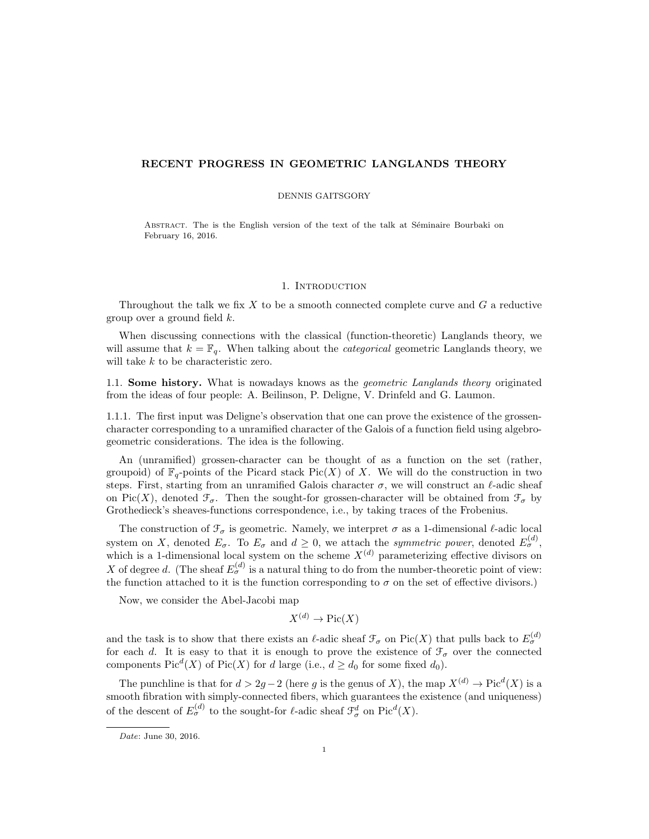## RECENT PROGRESS IN GEOMETRIC LANGLANDS THEORY

## DENNIS GAITSGORY

ABSTRACT. The is the English version of the text of the talk at Séminaire Bourbaki on February 16, 2016.

### 1. Introduction

Throughout the talk we fix  $X$  to be a smooth connected complete curve and  $G$  a reductive group over a ground field  $k$ .

When discussing connections with the classical (function-theoretic) Langlands theory, we will assume that  $k = \mathbb{F}_q$ . When talking about the *categorical* geometric Langlands theory, we will take k to be characteristic zero.

1.1. Some history. What is nowadays knows as the geometric Langlands theory originated from the ideas of four people: A. Beilinson, P. Deligne, V. Drinfeld and G. Laumon.

1.1.1. The first input was Deligne's observation that one can prove the existence of the grossencharacter corresponding to a unramified character of the Galois of a function field using algebrogeometric considerations. The idea is the following.

An (unramified) grossen-character can be thought of as a function on the set (rather, groupoid) of  $\mathbb{F}_q$ -points of the Picard stack Pic(X) of X. We will do the construction in two steps. First, starting from an unramified Galois character  $\sigma$ , we will construct an  $\ell$ -adic sheaf on Pic(X), denoted  $\mathcal{F}_{\sigma}$ . Then the sought-for grossen-character will be obtained from  $\mathcal{F}_{\sigma}$  by Grothedieck's sheaves-functions correspondence, i.e., by taking traces of the Frobenius.

The construction of  $\mathcal{F}_{\sigma}$  is geometric. Namely, we interpret  $\sigma$  as a 1-dimensional  $\ell$ -adic local system on X, denoted  $E_{\sigma}$ . To  $E_{\sigma}$  and  $d \geq 0$ , we attach the *symmetric power*, denoted  $E_{\sigma}^{(d)}$ , which is a 1-dimensional local system on the scheme  $X^{(d)}$  parameterizing effective divisors on X of degree d. (The sheaf  $E_{\sigma}^{(d)}$  is a natural thing to do from the number-theoretic point of view: the function attached to it is the function corresponding to  $\sigma$  on the set of effective divisors.)

Now, we consider the Abel-Jacobi map

$$
X^{(d)} \to \text{Pic}(X)
$$

and the task is to show that there exists an  $\ell$ -adic sheaf  $\mathcal{F}_{\sigma}$  on Pic(X) that pulls back to  $E_{\sigma}^{(d)}$ for each d. It is easy to that it is enough to prove the existence of  $\mathcal{F}_{\sigma}$  over the connected components  $Pic^d(X)$  of  $Pic(X)$  for d large (i.e.,  $d \geq d_0$  for some fixed  $d_0$ ).

The punchline is that for  $d > 2g - 2$  (here g is the genus of X), the map  $X^{(d)} \to Pic^d(X)$  is a smooth fibration with simply-connected fibers, which guarantees the existence (and uniqueness) of the descent of  $E_{\sigma}^{(d)}$  to the sought-for  $\ell$ -adic sheaf  $\mathcal{F}_{\sigma}^{d}$  on  $\text{Pic}^{d}(X)$ .

Date: June 30, 2016.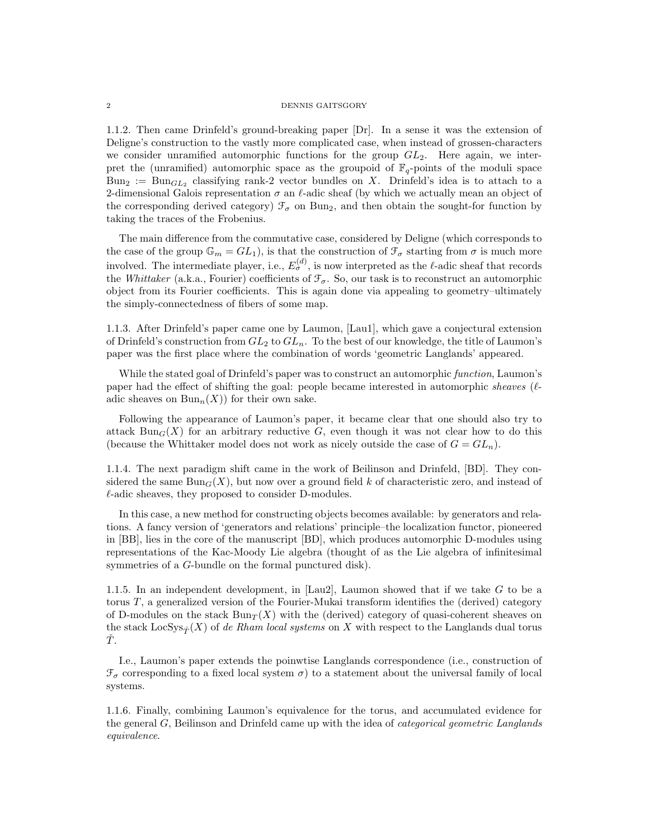#### 2 DENNIS GAITSGORY

1.1.2. Then came Drinfeld's ground-breaking paper [Dr]. In a sense it was the extension of Deligne's construction to the vastly more complicated case, when instead of grossen-characters we consider unramified automorphic functions for the group  $GL_2$ . Here again, we interpret the (unramified) automorphic space as the groupoid of  $\mathbb{F}_q$ -points of the moduli space  $Bun_2 := Bun_{GL_2}$  classifying rank-2 vector bundles on X. Drinfeld's idea is to attach to a 2-dimensional Galois representation  $\sigma$  an  $\ell$ -adic sheaf (by which we actually mean an object of the corresponding derived category)  $\mathcal{F}_{\sigma}$  on Bun<sub>2</sub>, and then obtain the sought-for function by taking the traces of the Frobenius.

The main difference from the commutative case, considered by Deligne (which corresponds to the case of the group  $\mathbb{G}_m = GL_1$ , is that the construction of  $\mathcal{F}_{\sigma}$  starting from  $\sigma$  is much more involved. The intermediate player, i.e.,  $E_{\sigma}^{(d)}$ , is now interpreted as the  $\ell$ -adic sheaf that records the Whittaker (a.k.a., Fourier) coefficients of  $\mathcal{F}_{\sigma}$ . So, our task is to reconstruct an automorphic object from its Fourier coefficients. This is again done via appealing to geometry–ultimately the simply-connectedness of fibers of some map.

1.1.3. After Drinfeld's paper came one by Laumon, [Lau1], which gave a conjectural extension of Drinfeld's construction from  $GL_2$  to  $GL_n$ . To the best of our knowledge, the title of Laumon's paper was the first place where the combination of words 'geometric Langlands' appeared.

While the stated goal of Drinfeld's paper was to construct an automorphic function, Laumon's paper had the effect of shifting the goal: people became interested in automorphic sheaves ( $\ell$ adic sheaves on  $Bun_n(X)$  for their own sake.

Following the appearance of Laumon's paper, it became clear that one should also try to attack Bun<sub>G</sub>(X) for an arbitrary reductive G, even though it was not clear how to do this (because the Whittaker model does not work as nicely outside the case of  $G = GL_n$ ).

1.1.4. The next paradigm shift came in the work of Beilinson and Drinfeld, [BD]. They considered the same  $Bun_G(X)$ , but now over a ground field k of characteristic zero, and instead of  $\ell$ -adic sheaves, they proposed to consider D-modules.

In this case, a new method for constructing objects becomes available: by generators and relations. A fancy version of 'generators and relations' principle–the localization functor, pioneered in [BB], lies in the core of the manuscript [BD], which produces automorphic D-modules using representations of the Kac-Moody Lie algebra (thought of as the Lie algebra of infinitesimal symmetries of a G-bundle on the formal punctured disk).

1.1.5. In an independent development, in [Lau2], Laumon showed that if we take G to be a torus T, a generalized version of the Fourier-Mukai transform identifies the (derived) category of D-modules on the stack  $Bun_{\mathcal{T}}(X)$  with the (derived) category of quasi-coherent sheaves on the stack  $\text{LocSys}_{\mathcal{T}}(X)$  of de Rham local systems on X with respect to the Langlands dual torus  $\dot{T}$ .

I.e., Laumon's paper extends the poinwtise Langlands correspondence (i.e., construction of  $\mathcal{F}_{\sigma}$  corresponding to a fixed local system  $\sigma$ ) to a statement about the universal family of local systems.

1.1.6. Finally, combining Laumon's equivalence for the torus, and accumulated evidence for the general  $G$ , Beilinson and Drinfeld came up with the idea of *categorical geometric Langlands* equivalence.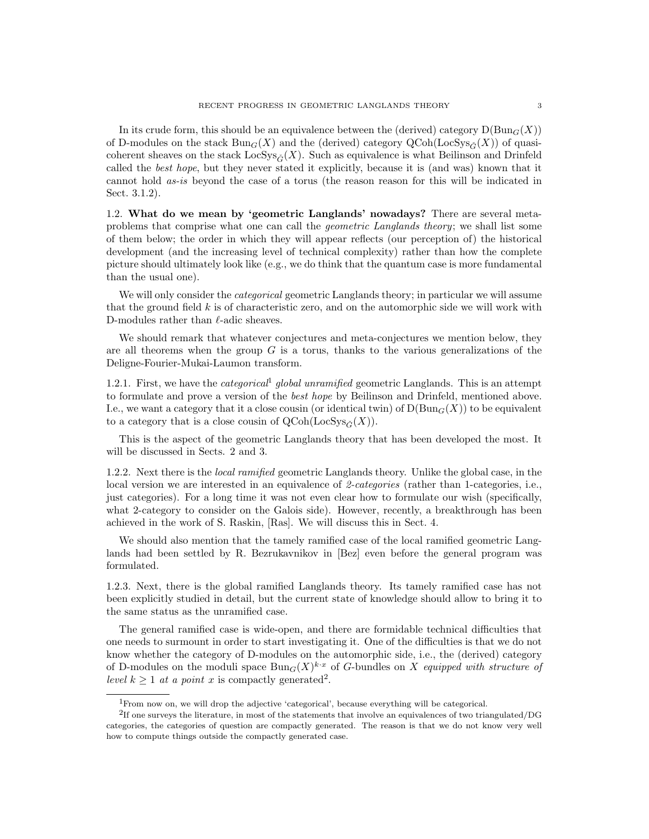In its crude form, this should be an equivalence between the (derived) category  $D(Bun_G(X))$ of D-modules on the stack  $Bun_G(X)$  and the (derived) category  $QCoh(LocSys_{\tilde{G}}(X))$  of quasicoherent sheaves on the stack  $\text{LocSys}_{\tilde{C}}(X)$ . Such as equivalence is what Beilinson and Drinfeld called the best hope, but they never stated it explicitly, because it is (and was) known that it cannot hold as-is beyond the case of a torus (the reason reason for this will be indicated in Sect. 3.1.2).

1.2. What do we mean by 'geometric Langlands' nowadays? There are several metaproblems that comprise what one can call the geometric Langlands theory; we shall list some of them below; the order in which they will appear reflects (our perception of) the historical development (and the increasing level of technical complexity) rather than how the complete picture should ultimately look like (e.g., we do think that the quantum case is more fundamental than the usual one).

We will only consider the *categorical* geometric Langlands theory; in particular we will assume that the ground field  $k$  is of characteristic zero, and on the automorphic side we will work with D-modules rather than  $\ell$ -adic sheaves.

We should remark that whatever conjectures and meta-conjectures we mention below, they are all theorems when the group  $G$  is a torus, thanks to the various generalizations of the Deligne-Fourier-Mukai-Laumon transform.

1.2.1. First, we have the *categorical* global unramified geometric Langlands. This is an attempt to formulate and prove a version of the best hope by Beilinson and Drinfeld, mentioned above. I.e., we want a category that it a close cousin (or identical twin) of  $D(Bun_G(X))$  to be equivalent to a category that is a close cousin of  $QCoh(LocSys_{\tilde{C}}(X)).$ 

This is the aspect of the geometric Langlands theory that has been developed the most. It will be discussed in Sects. 2 and 3.

1.2.2. Next there is the *local ramified* geometric Langlands theory. Unlike the global case, in the local version we are interested in an equivalence of 2-categories (rather than 1-categories, i.e., just categories). For a long time it was not even clear how to formulate our wish (specifically, what 2-category to consider on the Galois side). However, recently, a breakthrough has been achieved in the work of S. Raskin, [Ras]. We will discuss this in Sect. 4.

We should also mention that the tamely ramified case of the local ramified geometric Langlands had been settled by R. Bezrukavnikov in [Bez] even before the general program was formulated.

1.2.3. Next, there is the global ramified Langlands theory. Its tamely ramified case has not been explicitly studied in detail, but the current state of knowledge should allow to bring it to the same status as the unramified case.

The general ramified case is wide-open, and there are formidable technical difficulties that one needs to surmount in order to start investigating it. One of the difficulties is that we do not know whether the category of D-modules on the automorphic side, i.e., the (derived) category of D-modules on the moduli space  $Bun_G(X)^{k \cdot x}$  of G-bundles on X equipped with structure of level  $k \geq 1$  at a point x is compactly generated<sup>2</sup>.

<sup>1</sup>From now on, we will drop the adjective 'categorical', because everything will be categorical.

<sup>&</sup>lt;sup>2</sup>If one surveys the literature, in most of the statements that involve an equivalences of two triangulated/DG categories, the categories of question are compactly generated. The reason is that we do not know very well how to compute things outside the compactly generated case.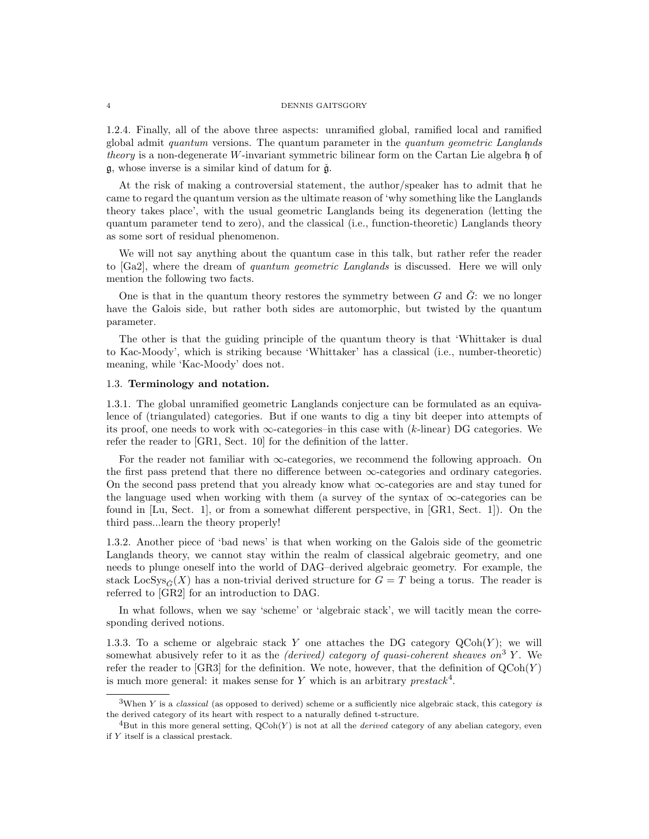#### 4 DENNIS GAITSGORY

1.2.4. Finally, all of the above three aspects: unramified global, ramified local and ramified global admit quantum versions. The quantum parameter in the quantum geometric Langlands theory is a non-degenerate W-invariant symmetric bilinear form on the Cartan Lie algebra h of  $g$ , whose inverse is a similar kind of datum for  $\check{g}$ .

At the risk of making a controversial statement, the author/speaker has to admit that he came to regard the quantum version as the ultimate reason of 'why something like the Langlands theory takes place', with the usual geometric Langlands being its degeneration (letting the quantum parameter tend to zero), and the classical (i.e., function-theoretic) Langlands theory as some sort of residual phenomenon.

We will not say anything about the quantum case in this talk, but rather refer the reader to [Ga2], where the dream of quantum geometric Langlands is discussed. Here we will only mention the following two facts.

One is that in the quantum theory restores the symmetry between  $G$  and  $\tilde{G}$ : we no longer have the Galois side, but rather both sides are automorphic, but twisted by the quantum parameter.

The other is that the guiding principle of the quantum theory is that 'Whittaker is dual to Kac-Moody', which is striking because 'Whittaker' has a classical (i.e., number-theoretic) meaning, while 'Kac-Moody' does not.

# 1.3. Terminology and notation.

1.3.1. The global unramified geometric Langlands conjecture can be formulated as an equivalence of (triangulated) categories. But if one wants to dig a tiny bit deeper into attempts of its proof, one needs to work with  $\infty$ -categories–in this case with (k-linear) DG categories. We refer the reader to [GR1, Sect. 10] for the definition of the latter.

For the reader not familiar with  $\infty$ -categories, we recommend the following approach. On the first pass pretend that there no difference between  $\infty$ -categories and ordinary categories. On the second pass pretend that you already know what ∞-categories are and stay tuned for the language used when working with them (a survey of the syntax of  $\infty$ -categories can be found in [Lu, Sect. 1], or from a somewhat different perspective, in [GR1, Sect. 1]). On the third pass...learn the theory properly!

1.3.2. Another piece of 'bad news' is that when working on the Galois side of the geometric Langlands theory, we cannot stay within the realm of classical algebraic geometry, and one needs to plunge oneself into the world of DAG–derived algebraic geometry. For example, the stack LocSys<sub>G</sub>(X) has a non-trivial derived structure for  $G = T$  being a torus. The reader is referred to [GR2] for an introduction to DAG.

In what follows, when we say 'scheme' or 'algebraic stack', we will tacitly mean the corresponding derived notions.

1.3.3. To a scheme or algebraic stack Y one attaches the DG category  $QCoh(Y)$ ; we will somewhat abusively refer to it as the *(derived)* category of quasi-coherent sheaves on<sup>3</sup> Y. We refer the reader to [GR3] for the definition. We note, however, that the definition of  $QCoh(Y)$ is much more general: it makes sense for Y which is an arbitrary  $prestack<sup>4</sup>$ .

 $3$ When Y is a *classical* (as opposed to derived) scheme or a sufficiently nice algebraic stack, this category is the derived category of its heart with respect to a naturally defined t-structure.

 ${}^{4}$ But in this more general setting,  $QCoh(Y)$  is not at all the *derived* category of any abelian category, even if Y itself is a classical prestack.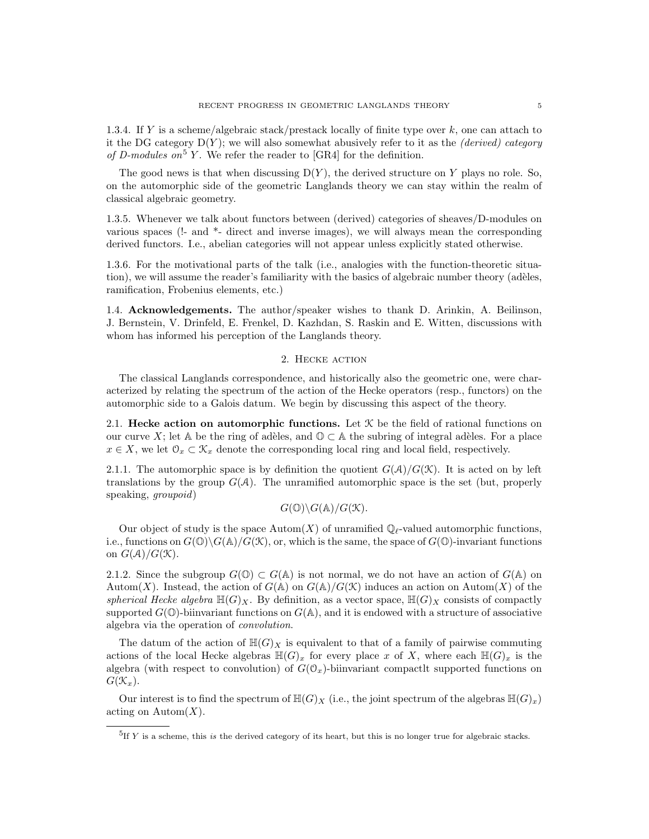1.3.4. If Y is a scheme/algebraic stack/prestack locally of finite type over k, one can attach to it the DG category  $D(Y)$ ; we will also somewhat abusively refer to it as the *(derived) category* of D-modules on<sup>5</sup> Y. We refer the reader to [GR4] for the definition.

The good news is that when discussing  $D(Y)$ , the derived structure on Y plays no role. So, on the automorphic side of the geometric Langlands theory we can stay within the realm of classical algebraic geometry.

1.3.5. Whenever we talk about functors between (derived) categories of sheaves/D-modules on various spaces (!- and \*- direct and inverse images), we will always mean the corresponding derived functors. I.e., abelian categories will not appear unless explicitly stated otherwise.

1.3.6. For the motivational parts of the talk (i.e., analogies with the function-theoretic situation), we will assume the reader's familiarity with the basics of algebraic number theory (adèles, ramification, Frobenius elements, etc.)

1.4. Acknowledgements. The author/speaker wishes to thank D. Arinkin, A. Beilinson, J. Bernstein, V. Drinfeld, E. Frenkel, D. Kazhdan, S. Raskin and E. Witten, discussions with whom has informed his perception of the Langlands theory.

## 2. HECKE ACTION

The classical Langlands correspondence, and historically also the geometric one, were characterized by relating the spectrum of the action of the Hecke operators (resp., functors) on the automorphic side to a Galois datum. We begin by discussing this aspect of the theory.

2.1. Hecke action on automorphic functions. Let  $K$  be the field of rational functions on our curve X; let A be the ring of adèles, and  $\mathbb{O} \subset A$  the subring of integral adèles. For a place  $x \in X$ , we let  $\mathcal{O}_x \subset \mathcal{K}_x$  denote the corresponding local ring and local field, respectively.

2.1.1. The automorphic space is by definition the quotient  $G(\mathcal{A})/G(\mathcal{K})$ . It is acted on by left translations by the group  $G(\mathcal{A})$ . The unramified automorphic space is the set (but, properly speaking, groupoid)

$$
G(\mathbb{O})\backslash G(\mathbb{A})/G(\mathcal{K}).
$$

Our object of study is the space  $\text{Autom}(X)$  of unramified  $\mathbb{Q}_{\ell}$ -valued automorphic functions, i.e., functions on  $G(\mathbb{O})\backslash G(\mathbb{A})/G(\mathcal{K})$ , or, which is the same, the space of  $G(\mathbb{O})$ -invariant functions on  $G(\mathcal{A})/G(\mathcal{K})$ .

2.1.2. Since the subgroup  $G(\mathbb{O}) \subset G(\mathbb{A})$  is not normal, we do not have an action of  $G(\mathbb{A})$  on Autom(X). Instead, the action of  $G(\mathbb{A})$  on  $G(\mathbb{A})/G(\mathcal{K})$  induces an action on Autom(X) of the spherical Hecke algebra  $\mathbb{H}(G)_X$ . By definition, as a vector space,  $\mathbb{H}(G)_X$  consists of compactly supported  $G(\mathbb{O})$ -biinvariant functions on  $G(\mathbb{A})$ , and it is endowed with a structure of associative algebra via the operation of convolution.

The datum of the action of  $\mathbb{H}(G)_X$  is equivalent to that of a family of pairwise commuting actions of the local Hecke algebras  $\mathbb{H}(G)_x$  for every place x of X, where each  $\mathbb{H}(G)_x$  is the algebra (with respect to convolution) of  $G(\mathcal{O}_x)$ -biinvariant compactlt supported functions on  $G(\mathcal{K}_x)$ .

Our interest is to find the spectrum of  $\mathbb{H}(G)_X$  (i.e., the joint spectrum of the algebras  $\mathbb{H}(G)_x$ ) acting on  $\text{Autom}(X)$ .

 ${}^{5}$ If Y is a scheme, this is the derived category of its heart, but this is no longer true for algebraic stacks.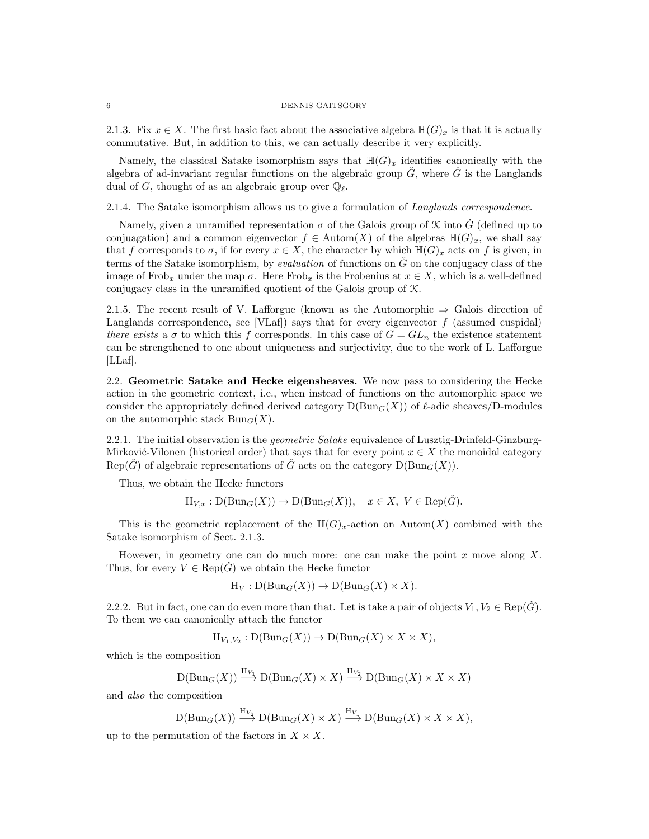2.1.3. Fix  $x \in X$ . The first basic fact about the associative algebra  $\mathbb{H}(G)_x$  is that it is actually commutative. But, in addition to this, we can actually describe it very explicitly.

Namely, the classical Satake isomorphism says that  $\mathbb{H}(G)_x$  identifies canonically with the algebra of ad-invariant regular functions on the algebraic group  $\check{G}$ , where  $\check{G}$  is the Langlands dual of G, thought of as an algebraic group over  $\mathbb{Q}_{\ell}$ .

2.1.4. The Satake isomorphism allows us to give a formulation of Langlands correspondence.

Namely, given a unramified representation  $\sigma$  of the Galois group of X into G<sup> $\dot{G}$ </sup> (defined up to conjuagation) and a common eigenvector  $f \in \text{Autom}(X)$  of the algebras  $\mathbb{H}(G)_x$ , we shall say that f corresponds to  $\sigma$ , if for every  $x \in X$ , the character by which  $\mathbb{H}(G)_x$  acts on f is given, in terms of the Satake isomorphism, by *evaluation* of functions on  $\check{G}$  on the conjugacy class of the image of Frob<sub>x</sub> under the map  $\sigma$ . Here Frob<sub>x</sub> is the Frobenius at  $x \in X$ , which is a well-defined conjugacy class in the unramified quotient of the Galois group of K.

2.1.5. The recent result of V. Lafforgue (known as the Automorphic  $\Rightarrow$  Galois direction of Langlands correspondence, see [VLaf]) says that for every eigenvector  $f$  (assumed cuspidal) there exists a  $\sigma$  to which this f corresponds. In this case of  $G = GL_n$  the existence statement can be strengthened to one about uniqueness and surjectivity, due to the work of L. Lafforgue [LLaf].

2.2. Geometric Satake and Hecke eigensheaves. We now pass to considering the Hecke action in the geometric context, i.e., when instead of functions on the automorphic space we consider the appropriately defined derived category  $D(Bun_G(X))$  of  $\ell$ -adic sheaves/D-modules on the automorphic stack  $Bun_G(X)$ .

2.2.1. The initial observation is the *geometric Satake* equivalence of Lusztig-Drinfeld-Ginzburg-Mirković-Vilonen (historical order) that says that for every point  $x \in X$  the monoidal category Rep( $\check{G}$ ) of algebraic representations of  $\check{G}$  acts on the category  $D(\text{Bun}_G(X))$ .

Thus, we obtain the Hecke functors

$$
H_{V,x}: D(Bun_G(X)) \to D(Bun_G(X)), \quad x \in X, V \in Rep(\check{G}).
$$

This is the geometric replacement of the  $\mathbb{H}(G)_x$ -action on Autom $(X)$  combined with the Satake isomorphism of Sect. 2.1.3.

However, in geometry one can do much more: one can make the point  $x$  move along  $X$ . Thus, for every  $V \in \text{Rep}(\hat{G})$  we obtain the Hecke functor

$$
\mathrm{H}_V : \mathrm{D}(\mathrm{Bun}_G(X)) \to \mathrm{D}(\mathrm{Bun}_G(X) \times X).
$$

2.2.2. But in fact, one can do even more than that. Let is take a pair of objects  $V_1, V_2 \in \text{Rep}(\tilde{G})$ . To them we can canonically attach the functor

$$
\mathrm{H}_{V_1,V_2} : \mathrm{D}(\mathrm{Bun}_G(X)) \to \mathrm{D}(\mathrm{Bun}_G(X) \times X \times X),
$$

which is the composition

$$
\mathcal{D}(\mathrm{Bun}_G(X)) \xrightarrow{\mathrm{H}_{V_1}} \mathcal{D}(\mathrm{Bun}_G(X) \times X) \xrightarrow{\mathrm{H}_{V_2}} \mathcal{D}(\mathrm{Bun}_G(X) \times X \times X)
$$

and also the composition

$$
\mathrm{D}(\mathrm{Bun}_G(X)) \stackrel{\mathrm{H}_{V_2}}{\longrightarrow} \mathrm{D}(\mathrm{Bun}_G(X) \times X) \stackrel{\mathrm{H}_{V_1}}{\longrightarrow} \mathrm{D}(\mathrm{Bun}_G(X) \times X \times X),
$$

up to the permutation of the factors in  $X \times X$ .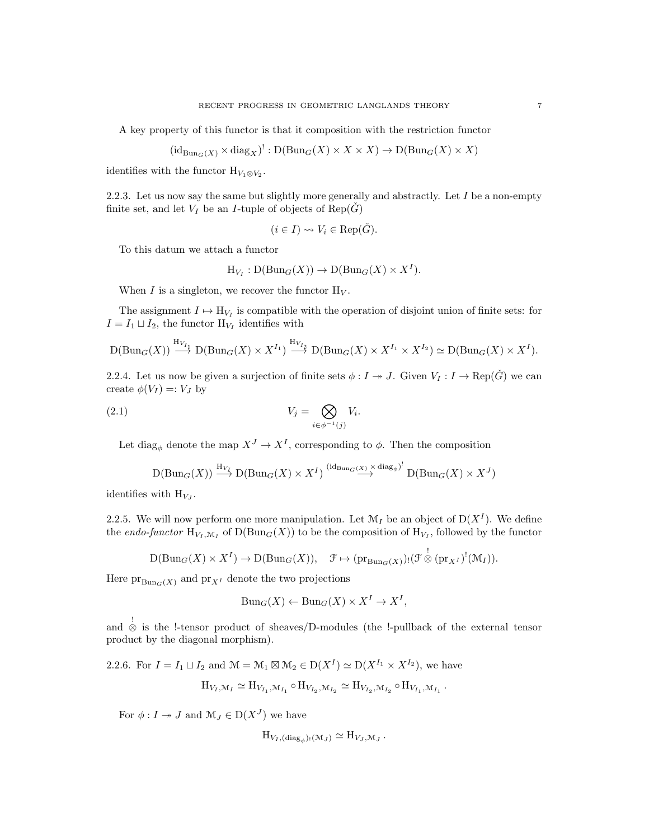A key property of this functor is that it composition with the restriction functor

$$
(\mathrm{id}_{\mathrm{Bun}_G(X)} \times \mathrm{diag}_X)^!: \mathrm{D}(\mathrm{Bun}_G(X) \times X \times X) \to \mathrm{D}(\mathrm{Bun}_G(X) \times X)
$$

identifies with the functor  $H_{V_1 \otimes V_2}$ .

2.2.3. Let us now say the same but slightly more generally and abstractly. Let  $I$  be a non-empty finite set, and let  $V_I$  be an *I*-tuple of objects of  $Rep(\hat{G})$ 

$$
(i \in I) \rightsquigarrow V_i \in \text{Rep}(\check{G}).
$$

To this datum we attach a functor

$$
\mathrm{H}_{V_I} : \mathrm{D}(\mathrm{Bun}_G(X)) \to \mathrm{D}(\mathrm{Bun}_G(X) \times X^I).
$$

When I is a singleton, we recover the functor  $H_V$ .

The assignment  $I \mapsto H_{V_I}$  is compatible with the operation of disjoint union of finite sets: for  $I = I_1 \sqcup I_2$ , the functor  $H_{V_I}$  identifies with

$$
\mathrm{D}(\mathrm{Bun}_G(X)) \stackrel{\mathrm{H}_{V_{I_1}}}{\longrightarrow} \mathrm{D}(\mathrm{Bun}_G(X) \times X^{I_1}) \stackrel{\mathrm{H}_{V_{I_2}}}{\longrightarrow} \mathrm{D}(\mathrm{Bun}_G(X) \times X^{I_1} \times X^{I_2}) \simeq \mathrm{D}(\mathrm{Bun}_G(X) \times X^I).
$$

2.2.4. Let us now be given a surjection of finite sets  $\phi: I \twoheadrightarrow J$ . Given  $V_I: I \rightarrow \text{Rep}(\check{G})$  we can create  $\phi(V_I) =: V_J$  by

$$
(2.1) \t\t V_j = \bigotimes_{i \in \phi^{-1}(j)} V_i.
$$

Let  $\text{diag}_{\phi}$  denote the map  $X^J \to X^I$ , corresponding to  $\phi$ . Then the composition

$$
\mathcal{D}(\mathrm{Bun}_G(X)) \stackrel{\mathrm{H}_{V_f}}{\longrightarrow} \mathcal{D}(\mathrm{Bun}_G(X) \times X^I) \stackrel{\left(\mathrm{id}_{\mathrm{Bun}_G(X)} \times \mathrm{diag}_{\phi}\right)^!}{\longrightarrow} \mathcal{D}(\mathrm{Bun}_G(X) \times X^J)
$$

identifies with  $H_{V_J}$ .

2.2.5. We will now perform one more manipulation. Let  $\mathcal{M}_I$  be an object of  $D(X^I)$ . We define the *endo-functor*  $H_{V_I,\mathcal{M}_I}$  of  $D(Bun_G(X))$  to be the composition of  $H_{V_I}$ , followed by the functor

$$
\mathrm{D}(\mathrm{Bun}_G(X) \times X^I) \to \mathrm{D}(\mathrm{Bun}_G(X)), \quad \mathfrak{F} \mapsto (\mathrm{pr}_{\mathrm{Bun}_G(X)})_!(\mathfrak{F} \overset{!}{\otimes} (\mathrm{pr}_{X^I})^!(\mathfrak{M}_I)).
$$

Here  $pr_{\text{Bun}_G(X)}$  and  $pr_{X^I}$  denote the two projections

$$
Bun_G(X) \leftarrow Bun_G(X) \times X^I \to X^I,
$$

and ! ⊗ is the !-tensor product of sheaves/D-modules (the !-pullback of the external tensor product by the diagonal morphism).

2.2.6. For 
$$
I = I_1 \sqcup I_2
$$
 and  $\mathcal{M} = \mathcal{M}_1 \boxtimes \mathcal{M}_2 \in D(X^I) \simeq D(X^{I_1} \times X^{I_2})$ , we have  
\n
$$
H_{V_I, \mathcal{M}_I} \simeq H_{V_{I_1}, \mathcal{M}_{I_1}} \circ H_{V_{I_2}, \mathcal{M}_{I_2}} \simeq H_{V_{I_2}, \mathcal{M}_{I_2}} \circ H_{V_{I_1}, \mathcal{M}_{I_1}}.
$$

For  $\phi: I \to J$  and  $\mathcal{M}_J \in D(X^J)$  we have

$$
H_{V_I,(\text{diag}_{\phi})_!(\mathcal{M}_J)} \simeq H_{V_J,\mathcal{M}_J}.
$$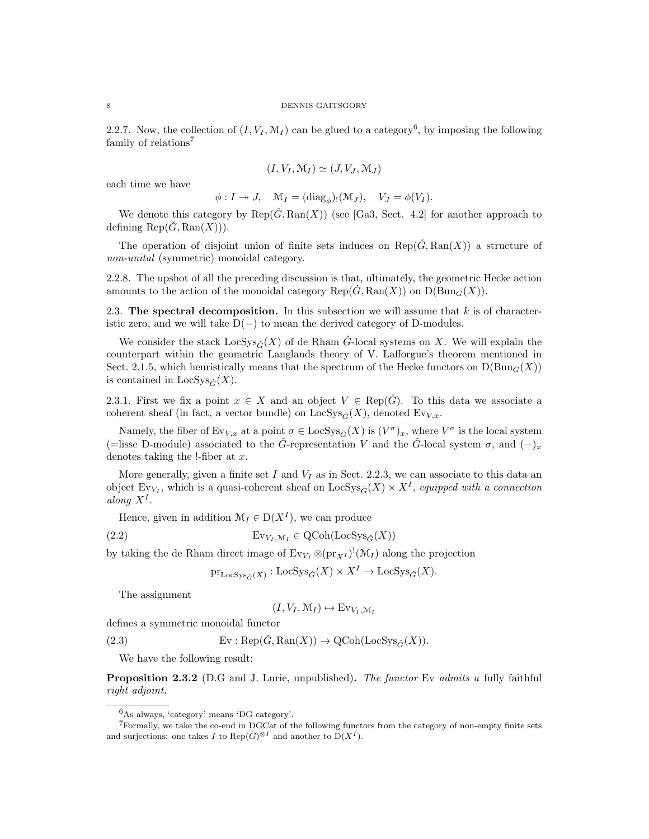2.2.7. Now, the collection of  $(I, V_I, \mathcal{M}_I)$  can be glued to a category<sup>6</sup>, by imposing the following family of relations<sup>7</sup>

$$
(I, V_I, \mathcal{M}_I) \simeq (J, V_J, \mathcal{M}_J)
$$

each time we have

$$
\phi: I \to J
$$
,  $\mathcal{M}_I = (\text{diag}_{\phi})_!(\mathcal{M}_J)$ ,  $V_J = \phi(V_I)$ .

We denote this category by  $\text{Rep}(\check{G}, \text{Ran}(X))$  (see [Ga3, Sect. 4.2] for another approach to defining  $\text{Rep}(\check{G}, \text{Ran}(X))).$ 

The operation of disjoint union of finite sets induces on  $\text{Rep}(\check{G}, \text{Ran}(X))$  a structure of non-unital (symmetric) monoidal category.

2.2.8. The upshot of all the preceding discussion is that, ultimately, the geometric Hecke action amounts to the action of the monoidal category  $\text{Rep}(G, \text{Ran}(X))$  on  $D(\text{Bun}_G(X))$ .

2.3. The spectral decomposition. In this subsection we will assume that  $k$  is of characteristic zero, and we will take  $D(-)$  to mean the derived category of D-modules.

We consider the stack  $\text{LocSys}_{\check{G}}(X)$  of de Rham  $\check{G}$ -local systems on X. We will explain the counterpart within the geometric Langlands theory of V. Lafforgue's theorem mentioned in Sect. 2.1.5, which heuristically means that the spectrum of the Hecke functors on  $D(Bun_G(X))$ is contained in  $\text{LocSys}_{\tilde{C}}(X)$ .

2.3.1. First we fix a point  $x \in X$  and an object  $V \in \text{Rep}(\check{G})$ . To this data we associate a coherent sheaf (in fact, a vector bundle) on  $\text{LocSys}_{\check{C}}(X)$ , denoted  $\text{Ev}_{V,x}$ .

Namely, the fiber of  $Ev_{V,x}$  at a point  $\sigma \in \text{LocSys}_{\check{G}}(X)$  is  $(V^{\sigma})_x$ , where  $V^{\sigma}$  is the local system (=lisse D-module) associated to the  $\check{G}$ -representation V and the  $\check{G}$ -local system  $\sigma$ , and  $(-)_x$ denotes taking the !-fiber at  $x$ .

More generally, given a finite set I and  $V_I$  as in Sect. 2.2.3, we can associate to this data an object  $Ev_{V_I}$ , which is a quasi-coherent sheaf on  $LocSys_{\check{G}}(X) \times X^I$ , equipped with a connection along  $X^I$ .

Hence, given in addition  $\mathcal{M}_I \in D(X^I)$ , we can produce

(2.2) 
$$
Ev_{V_I, \mathcal{M}_I} \in \text{QCoh}(\text{LocSys}_{\check{G}}(X))
$$

by taking the de Rham direct image of  $Ev_{V_I} \otimes (pr_{X^I})^! (M_I)$  along the projection

$$
\mathrm{pr}_{\mathrm{LocSys}_{\check{G}}(X)} : \mathrm{LocSys}_{\check{G}}(X) \times X^I \to \mathrm{LocSys}_{\check{G}}(X).
$$

The assignment

$$
(I, V_I, \mathcal{M}_I) \mapsto Ev_{V_I, \mathcal{M}_I}
$$

defines a symmetric monoidal functor

(2.3)  $\text{Ev}: \text{Rep}(\check{G}, \text{Ran}(X)) \to \text{QCoh}(\text{LocSys}_{\check{G}}(X)).$ 

We have the following result:

**Proposition 2.3.2** (D.G and J. Lurie, unpublished). The functor Ev admits a fully faithful right adjoint.

<sup>6</sup>As always, 'category' means 'DG category'.

 $7$ Formally, we take the co-end in DGCat of the following functors from the category of non-empty finite sets and surjections: one takes I to  $\text{Rep}(\check{G})^{\otimes I}$  and another to  $D(X^I)$ .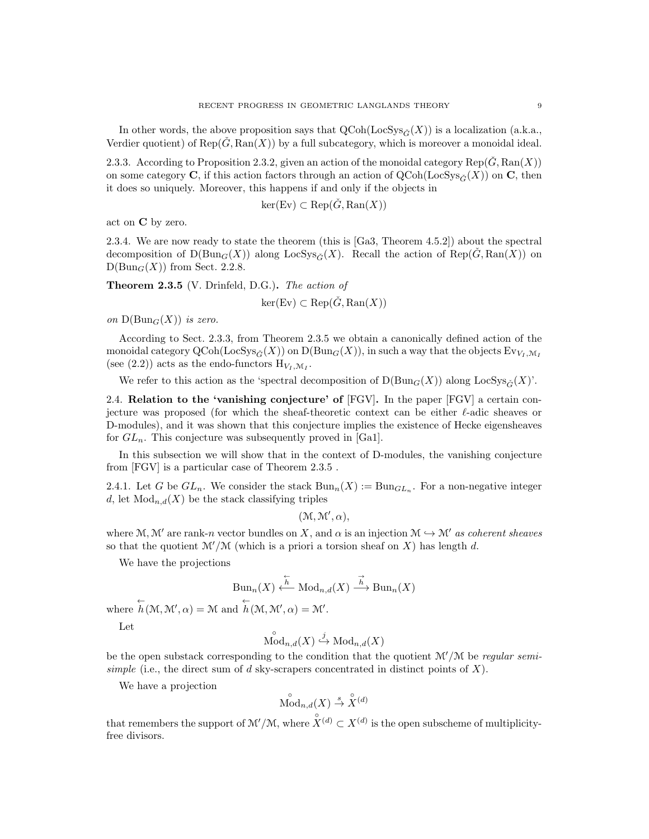In other words, the above proposition says that  $Q\text{Coh}(\text{LocSys}_{\tilde{C}}(X))$  is a localization (a.k.a., Verdier quotient) of  $\text{Rep}(\check{G}, \text{Ran}(X))$  by a full subcategory, which is moreover a monoidal ideal.

2.3.3. According to Proposition 2.3.2, given an action of the monoidal category  $\text{Rep}(\check{G}, \text{Ran}(X))$ on some category **C**, if this action factors through an action of  $QCoh(LocSys_{\tilde{C}}(X))$  on **C**, then it does so uniquely. Moreover, this happens if and only if the objects in

$$
\ker(\mathrm{Ev}) \subset \mathrm{Rep}(\check{G}, \mathrm{Ran}(X))
$$

act on C by zero.

2.3.4. We are now ready to state the theorem (this is [Ga3, Theorem 4.5.2]) about the spectral decomposition of  $D(Bun_G(X))$  along  $LocSys_{\tilde{C}}(X)$ . Recall the action of  $Rep(\tilde{G}, Ran(X))$  on  $D(Bun_G(X))$  from Sect. 2.2.8.

Theorem 2.3.5 (V. Drinfeld, D.G.). The action of

$$
\ker(\mathrm{Ev}) \subset \mathrm{Rep}(\check{G}, \mathrm{Ran}(X))
$$

on  $D(Bun_G(X))$  is zero.

According to Sect. 2.3.3, from Theorem 2.3.5 we obtain a canonically defined action of the monoidal category  $\mathrm{QCoh}(\mathrm{LocSys}_{\check{C}}(X))$  on  $\mathrm{D}(\mathrm{Bun}_G(X))$ , in such a way that the objects  $\mathrm{Ev}_{V_1,\mathcal{M}_I}$ (see (2.2)) acts as the endo-functors  $H_{V_I,\mathcal{M}_I}$ .

We refer to this action as the 'spectral decomposition of  $D(Bun_G(X))$  along  $LocSys_{\tilde{G}}(X)'$ .

2.4. Relation to the 'vanishing conjecture' of [FGV]. In the paper [FGV] a certain conjecture was proposed (for which the sheaf-theoretic context can be either  $\ell$ -adic sheaves or D-modules), and it was shown that this conjecture implies the existence of Hecke eigensheaves for  $GL_n$ . This conjecture was subsequently proved in [Ga1].

In this subsection we will show that in the context of D-modules, the vanishing conjecture from [FGV] is a particular case of Theorem 2.3.5 .

2.4.1. Let G be  $GL_n$ . We consider the stack  $Bun_n(X) := Bun_{GL_n}$ . For a non-negative integer d, let  $Mod_{n,d}(X)$  be the stack classifying triples

$$
(\mathcal{M}, \mathcal{M}', \alpha),
$$

where M, M' are rank-n vector bundles on X, and  $\alpha$  is an injection  $\mathcal{M} \hookrightarrow \mathcal{M}'$  as coherent sheaves so that the quotient  $\mathcal{M}/\mathcal{M}$  (which is a priori a torsion sheaf on X) has length d.

We have the projections

$$
\mathrm{Bun}_n(X) \xleftarrow{\overleftarrow{h}} \mathrm{Mod}_{n,d}(X) \xrightarrow{\overrightarrow{h}} \mathrm{Bun}_n(X)
$$

where  $\overleftarrow{h}(\mathcal{M}, \mathcal{M}', \alpha) = \mathcal{M}$  and  $\overleftarrow{h}(\mathcal{M}, \mathcal{M}', \alpha) = \mathcal{M}'.$ 

Let

$$
\overset{\circ}{\mathrm{Mod}}_{n,d}(X) \overset{j}{\hookrightarrow} \mathrm{Mod}_{n,d}(X)
$$

◦

be the open substack corresponding to the condition that the quotient  $\mathcal{M}'/\mathcal{M}$  be regular semisimple (i.e., the direct sum of  $d$  sky-scrapers concentrated in distinct points of  $X$ ).

We have a projection

$$
\overset{\circ}{\mathrm{Mod}}_{n,d}(X) \stackrel{s}{\to} \overset{\circ}{X}{}^{(d)}
$$

that remembers the support of  $\mathcal{M}'/\mathcal{M}$ , where  $\mathring{X}^{(d)} \subset X^{(d)}$  is the open subscheme of multiplicityfree divisors.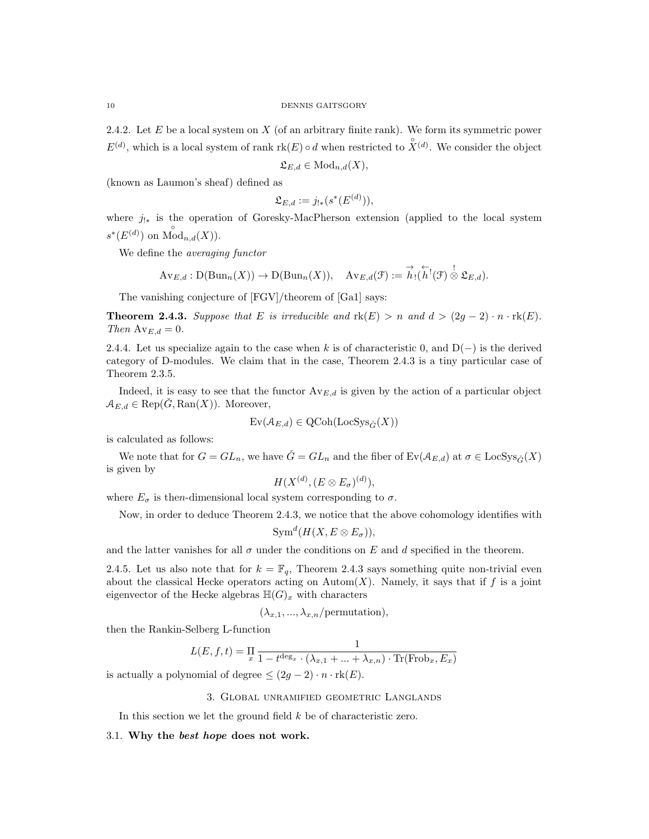2.4.2. Let  $E$  be a local system on  $X$  (of an arbitrary finite rank). We form its symmetric power  $E^{(d)}$ , which is a local system of rank  $\text{rk}(E) \circ d$  when restricted to  $\hat{X}^{(d)}$ . We consider the object

$$
\mathfrak{L}_{E,d} \in \text{Mod}_{n,d}(X),
$$

(known as Laumon's sheaf) defined as

$$
\mathfrak{L}_{E,d} := j_{!*}(s^*(E^{(d)})),
$$

where  $j_{!*}$  is the operation of Goresky-MacPherson extension (applied to the local system  $s^*(E^{(d)})$  on  $\bigwedge^{\circ} \mathrm{od}_{n,d}(X)$ ).

We define the averaging functor

$$
\mathrm{Av}_{E,d} : \mathrm{D}(\mathrm{Bun}_n(X)) \to \mathrm{D}(\mathrm{Bun}_n(X)), \quad \mathrm{Av}_{E,d}(\mathcal{F}) := \overrightarrow{h}_!(\overleftarrow{h}^!(\mathcal{F}) \overset{!}{\otimes} \mathfrak{L}_{E,d}).
$$

The vanishing conjecture of [FGV]/theorem of [Ga1] says:

**Theorem 2.4.3.** Suppose that E is irreducible and  $\text{rk}(E) > n$  and  $d > (2g - 2) \cdot n \cdot \text{rk}(E)$ . Then  $Av_{E,d} = 0$ .

2.4.4. Let us specialize again to the case when k is of characteristic 0, and  $D(-)$  is the derived category of D-modules. We claim that in the case, Theorem 2.4.3 is a tiny particular case of Theorem 2.3.5.

Indeed, it is easy to see that the functor  $Av_{E,d}$  is given by the action of a particular object  $\mathcal{A}_{E,d} \in \text{Rep}(\check{G}, \text{Ran}(X)).$  Moreover,

$$
\text{Ev}(\mathcal{A}_{E,d}) \in \text{QCoh}(\text{LocSys}_{\check{G}}(X))
$$

is calculated as follows:

We note that for  $G = GL_n$ , we have  $\check{G} = GL_n$  and the fiber of  $Ev(\mathcal{A}_{E,d})$  at  $\sigma \in \text{LocSys}_{\check{G}}(X)$ is given by

$$
H(X^{(d)}, (E \otimes E_{\sigma})^{(d)}),
$$

where  $E_{\sigma}$  is then-dimensional local system corresponding to  $\sigma$ .

Now, in order to deduce Theorem 2.4.3, we notice that the above cohomology identifies with

$$
\text{Sym}^d(H(X, E \otimes E_{\sigma})),
$$

and the latter vanishes for all  $\sigma$  under the conditions on E and d specified in the theorem.

2.4.5. Let us also note that for  $k = \mathbb{F}_q$ , Theorem 2.4.3 says something quite non-trivial even about the classical Hecke operators acting on  $\text{Autom}(X)$ . Namely, it says that if f is a joint eigenvector of the Hecke algebras  $H(G)_x$  with characters

$$
(\lambda_{x,1},...,\lambda_{x,n}/\text{permutation}),
$$

then the Rankin-Selberg L-function

$$
L(E, f, t) = \prod_{x} \frac{1}{1 - t^{\deg_x} \cdot (\lambda_{x,1} + \dots + \lambda_{x,n}) \cdot \text{Tr}(\text{Frob}_x, E_x)}
$$

is actually a polynomial of degree  $\leq (2g - 2) \cdot n \cdot \text{rk}(E)$ .

## 3. Global unramified geometric Langlands

In this section we let the ground field  $k$  be of characteristic zero.

## 3.1. Why the best hope does not work.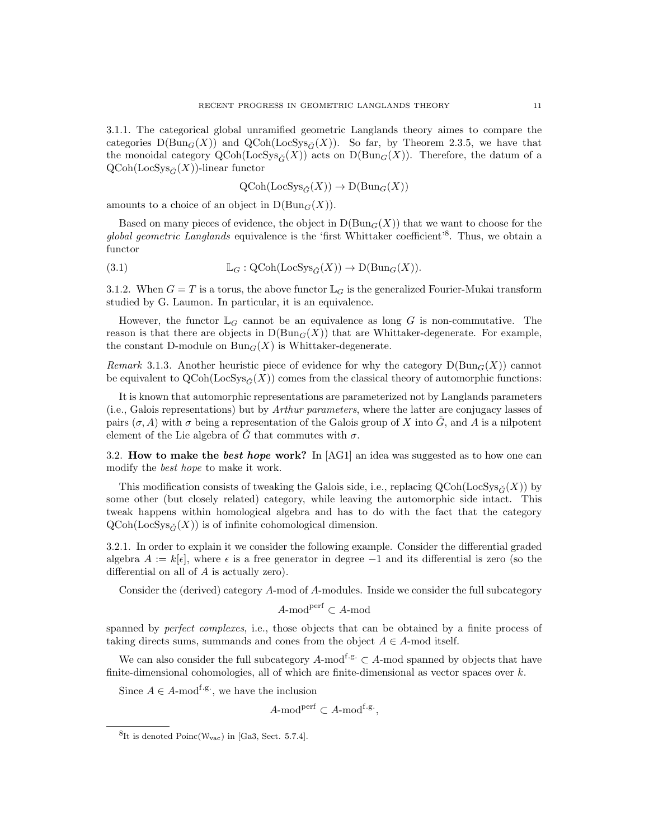3.1.1. The categorical global unramified geometric Langlands theory aimes to compare the categories  $D(Bun_G(X))$  and  $QCoh(LocSys_{\tilde{G}}(X))$ . So far, by Theorem 2.3.5, we have that the monoidal category  $\text{QCoh}(\text{LocSys}_{\tilde{C}}(X))$  acts on  $\text{D}(\text{Bun}_G(X))$ . Therefore, the datum of a  $QCoh(LocSys_{\tilde{C}}(X))$ -linear functor

 $QCoh(LocSys_{\check{C}}(X)) \to D(Bun_G(X))$ 

amounts to a choice of an object in  $D(Bun_G(X))$ .

Based on many pieces of evidence, the object in  $D(Bun_G(X))$  that we want to choose for the global geometric Langlands equivalence is the 'first Whittaker coefficient'<sup>8</sup>. Thus, we obtain a functor

(3.1) 
$$
\mathbb{L}_G : \mathrm{QCoh}(\mathrm{LocSys}_{\check{G}}(X)) \to \mathrm{D}(\mathrm{Bun}_G(X)).
$$

3.1.2. When  $G = T$  is a torus, the above functor  $\mathbb{L}_G$  is the generalized Fourier-Mukai transform studied by G. Laumon. In particular, it is an equivalence.

However, the functor  $\mathbb{L}_G$  cannot be an equivalence as long G is non-commutative. The reason is that there are objects in  $D(Bun_G(X))$  that are Whittaker-degenerate. For example, the constant D-module on  $Bun_G(X)$  is Whittaker-degenerate.

Remark 3.1.3. Another heuristic piece of evidence for why the category  $D(\text{Bun}_G(X))$  cannot be equivalent to  $QCoh(LocSys_{\tilde{G}}(X))$  comes from the classical theory of automorphic functions:

It is known that automorphic representations are parameterized not by Langlands parameters (i.e., Galois representations) but by Arthur parameters, where the latter are conjugacy lasses of pairs  $(\sigma, A)$  with  $\sigma$  being a representation of the Galois group of X into  $\tilde{G}$ , and A is a nilpotent element of the Lie algebra of  $\check{G}$  that commutes with  $\sigma$ .

3.2. How to make the best hope work? In  $[AG1]$  an idea was suggested as to how one can modify the best hope to make it work.

This modification consists of tweaking the Galois side, i.e., replacing  $QCoh(LocSys_{\tilde{G}}(X))$  by some other (but closely related) category, while leaving the automorphic side intact. This tweak happens within homological algebra and has to do with the fact that the category  $QCoh(LocSys_{\check{G}}(X))$  is of infinite cohomological dimension.

3.2.1. In order to explain it we consider the following example. Consider the differential graded algebra  $A := k[\epsilon]$ , where  $\epsilon$  is a free generator in degree  $-1$  and its differential is zero (so the differential on all of A is actually zero).

Consider the (derived) category A-mod of A-modules. Inside we consider the full subcategory

$$
A\text{-mod}^\mathrm{perf}\subset A\text{-mod}
$$

spanned by *perfect complexes*, i.e., those objects that can be obtained by a finite process of taking directs sums, summands and cones from the object  $A \in A$ -mod itself.

We can also consider the full subcategory A-mod<sup>f.g.</sup> ⊂ A-mod spanned by objects that have finite-dimensional cohomologies, all of which are finite-dimensional as vector spaces over  $k$ .

Since  $A \in A$ -mod<sup>f.g.</sup>, we have the inclusion

 $A$ -mod<sup>perf</sup> ⊂  $A$ -mod<sup>f.g</sup>,

 ${}^{8}$ It is denoted Poinc(W<sub>vac</sub>) in [Ga3, Sect. 5.7.4].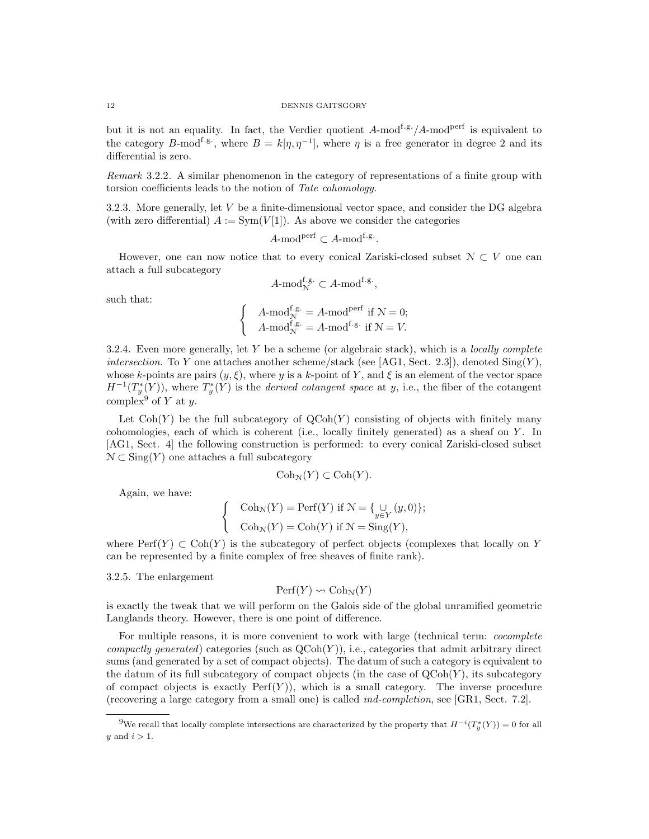but it is not an equality. In fact, the Verdier quotient  $A$ -mod<sup>f.g.</sup>/ $A$ -mod<sup>perf</sup> is equivalent to the category B-mod<sup>f.g.</sup>, where  $B = k[\eta, \eta^{-1}]$ , where  $\eta$  is a free generator in degree 2 and its differential is zero.

Remark 3.2.2. A similar phenomenon in the category of representations of a finite group with torsion coefficients leads to the notion of Tate cohomology.

3.2.3. More generally, let V be a finite-dimensional vector space, and consider the DG algebra (with zero differential)  $A := Sym(V[1])$ . As above we consider the categories

$$
A\text{-mod}^{\text{perf}} \subset A\text{-mod}^{\text{f-g}}.
$$

However, one can now notice that to every conical Zariski-closed subset  $\mathcal{N} \subset V$  one can attach a full subcategory

$$
A\text{-mod}_{\mathcal{N}}^{\mathbf{f}.\mathbf{g.}}\subset A\text{-mod}^{\mathbf{f}.\mathbf{g.}},
$$

such that:

$$
\begin{cases} A\text{-mod}_{\mathcal{N}}^{f.g.} = A\text{-mod}^{\text{perf}} \text{ if } \mathcal{N} = 0; \\ A\text{-mod}_{\mathcal{N}}^{f.g.} = A\text{-mod}^{f.g.} \text{ if } \mathcal{N} = V. \end{cases}
$$

3.2.4. Even more generally, let Y be a scheme (or algebraic stack), which is a *locally complete* intersection. To Y one attaches another scheme/stack (see [AG1, Sect. 2.3]), denoted  $\text{Sing}(Y)$ , whose k-points are pairs  $(y, \xi)$ , where y is a k-point of Y, and  $\xi$  is an element of the vector space  $H^{-1}(T^*_y(Y))$ , where  $T^*_y(Y)$  is the *derived cotangent space* at y, i.e., the fiber of the cotangent complex<sup>9</sup> of Y at y.

Let  $\text{Coh}(Y)$  be the full subcategory of  $\text{QCoh}(Y)$  consisting of objects with finitely many cohomologies, each of which is coherent (i.e., locally finitely generated) as a sheaf on Y . In [AG1, Sect. 4] the following construction is performed: to every conical Zariski-closed subset  $\mathcal{N} \subset \text{Sing}(Y)$  one attaches a full subcategory

$$
Coh_{\mathcal{N}}(Y) \subset Coh(Y).
$$

Again, we have:

$$
\begin{cases} \text{Coh}_{\mathcal{N}}(Y) = \text{Perf}(Y) \text{ if } \mathcal{N} = \{ \bigcup_{y \in Y} (y, 0) \}; \\ \text{Coh}_{\mathcal{N}}(Y) = \text{Coh}(Y) \text{ if } \mathcal{N} = \text{Sing}(Y), \end{cases}
$$

where  $\text{Perf}(Y) \subset \text{Coh}(Y)$  is the subcategory of perfect objects (complexes that locally on Y can be represented by a finite complex of free sheaves of finite rank).

3.2.5. The enlargement

$$
Perf(Y) \rightsquigarrow \mathrm{Coh}_{\mathcal{N}}(Y)
$$

is exactly the tweak that we will perform on the Galois side of the global unramified geometric Langlands theory. However, there is one point of difference.

For multiple reasons, it is more convenient to work with large (technical term: *cocomplete* compactly generated) categories (such as  $QCoh(Y)$ ), i.e., categories that admit arbitrary direct sums (and generated by a set of compact objects). The datum of such a category is equivalent to the datum of its full subcategory of compact objects (in the case of  $QCoh(Y)$ , its subcategory of compact objects is exactly  $\text{Perf}(Y)$ ), which is a small category. The inverse procedure (recovering a large category from a small one) is called ind-completion, see [GR1, Sect. 7.2].

<sup>&</sup>lt;sup>9</sup>We recall that locally complete intersections are characterized by the property that  $H^{-i}(T^*_y(Y)) = 0$  for all y and  $i > 1$ .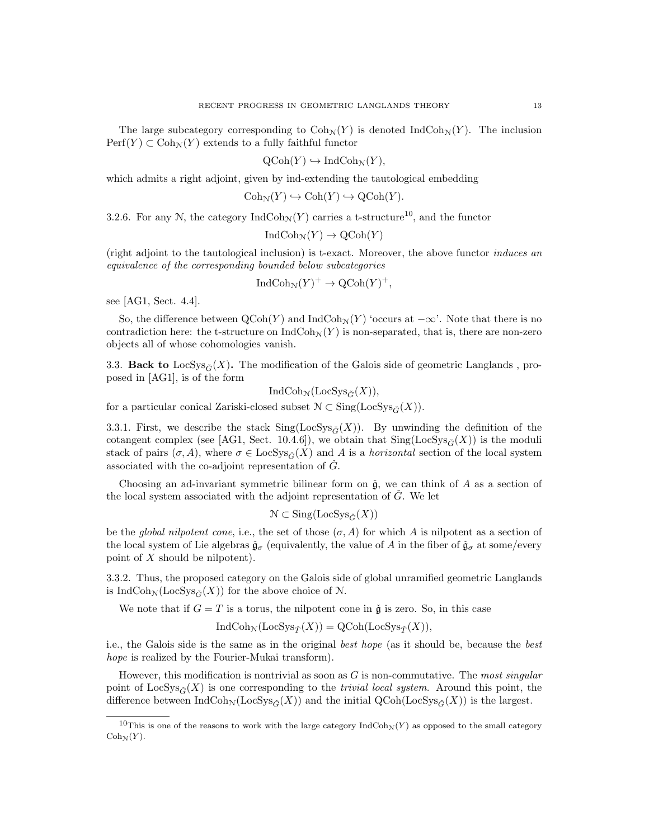The large subcategory corresponding to  $\text{Coh}_{\mathcal{N}}(Y)$  is denoted IndCoh<sub>N</sub> $(Y)$ . The inclusion  $\text{Perf}(Y) \subset \text{Coh}_{\mathcal{N}}(Y)$  extends to a fully faithful functor

$$
\mathrm{QCoh}(Y) \hookrightarrow \mathrm{IndCoh}_{\mathcal{N}}(Y),
$$

which admits a right adjoint, given by ind-extending the tautological embedding

$$
Coh_{\mathcal{N}}(Y) \hookrightarrow Coh(Y) \hookrightarrow QCoh(Y).
$$

3.2.6. For any N, the category IndCoh<sub>N</sub> $(Y)$  carries a t-structure<sup>10</sup>, and the functor

$$
IndCoh_{\mathcal{N}}(Y) \to \mathrm{QCoh}(Y)
$$

(right adjoint to the tautological inclusion) is t-exact. Moreover, the above functor induces an equivalence of the corresponding bounded below subcategories

$$
IndCoh_{\mathcal{N}}(Y)^{+} \to \mathrm{QCoh}(Y)^{+},
$$

see [AG1, Sect. 4.4].

So, the difference between  $\text{QCoh}(Y)$  and Ind $\text{Coh}_{\mathcal{N}}(Y)$  'occurs at  $-\infty$ '. Note that there is no contradiction here: the t-structure on  $\text{IndCoh}_{\mathcal{N}}(Y)$  is non-separated, that is, there are non-zero objects all of whose cohomologies vanish.

3.3. Back to LocSys<sub> $\tilde{\sigma}(X)$ </sub>. The modification of the Galois side of geometric Langlands, proposed in [AG1], is of the form

 $IndCoh_{\mathcal{N}}(LocSys_{\tilde{C}}(X)),$ 

for a particular conical Zariski-closed subset  $\mathcal{N} \subset \text{Sing}(\text{LocSys}_{\tilde{C}}(X)).$ 

3.3.1. First, we describe the stack  $\text{Sing}(\text{LocSys}_{\tilde{G}}(X)).$  By unwinding the definition of the cotangent complex (see [AG1, Sect. 10.4.6]), we obtain that  $\text{Sing}(\text{LocSys}_{\tilde{C}}(X))$  is the moduli stack of pairs  $(\sigma, A)$ , where  $\sigma \in \text{LocSys}_{\tilde{G}}(X)$  and A is a *horizontal* section of the local system associated with the co-adjoint representation of  $\tilde{G}$ .

Choosing an ad-invariant symmetric bilinear form on  $\check{g}$ , we can think of A as a section of the local system associated with the adjoint representation of  $\check{G}$ . We let

$$
\mathcal{N} \subset \text{Sing}(\text{LocSys}_{\check{G}}(X))
$$

be the global nilpotent cone, i.e., the set of those  $(\sigma, A)$  for which A is nilpotent as a section of the local system of Lie algebras  $\check{\mathfrak{g}}_{\sigma}$  (equivalently, the value of A in the fiber of  $\check{\mathfrak{g}}_{\sigma}$  at some/every point of X should be nilpotent).

3.3.2. Thus, the proposed category on the Galois side of global unramified geometric Langlands is IndCoh<sub>N</sub>(LocSys<sub> $\check{C}(X)$ ) for the above choice of N.</sub>

We note that if  $G = T$  is a torus, the nilpotent cone in  $\check{g}$  is zero. So, in this case

$$
IndCoh_{\mathcal{N}}(LocSys_{\check{T}}(X)) = QCoh(LocSys_{\check{T}}(X)),
$$

i.e., the Galois side is the same as in the original best hope (as it should be, because the best hope is realized by the Fourier-Mukai transform).

However, this modification is nontrivial as soon as  $G$  is non-commutative. The most singular point of LocSys<sub> $\tilde{G}(X)$ </sub> is one corresponding to the *trivial local system*. Around this point, the difference between  $\text{IndCoh}_{\mathcal{N}}(\text{LocSys}_{\tilde{G}}(X))$  and the initial  $\text{QCoh}(\text{LocSys}_{\tilde{G}}(X))$  is the largest.

<sup>&</sup>lt;sup>10</sup>This is one of the reasons to work with the large category  $IndCoh_N(Y)$  as opposed to the small category  $Coh_{\mathcal{N}}(Y)$ .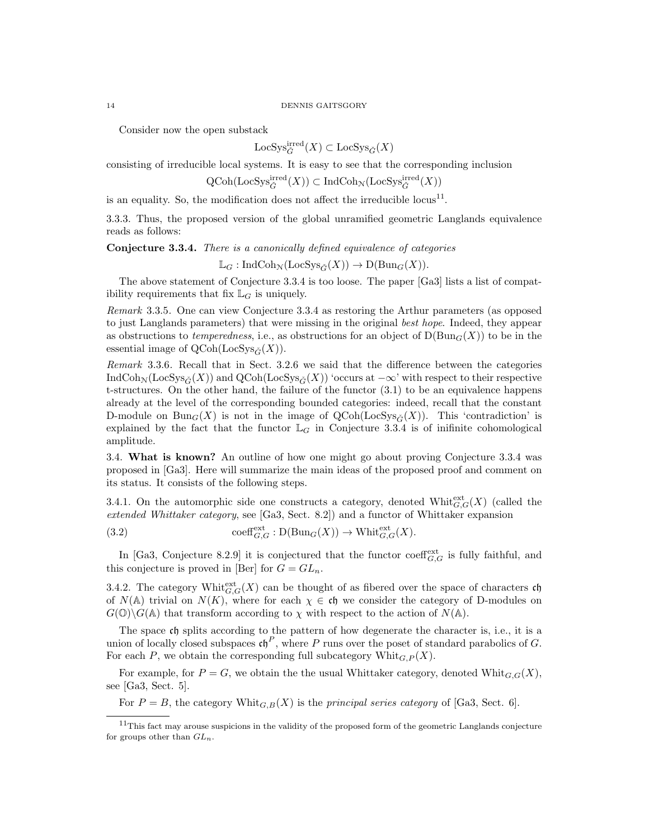#### 14 DENNIS GAITSGORY

Consider now the open substack

$$
\mathrm{LocSys}_{\check{G}}^{\mathrm{irred}}(X) \subset \mathrm{LocSys}_{\check{G}}(X)
$$

consisting of irreducible local systems. It is easy to see that the corresponding inclusion

 $\operatorname{QCoh}(\operatorname{LocSys}^{\operatorname{irred}}_{\check{G}}(X)) \subset \operatorname{IndCoh}_{\mathcal{N}}(\operatorname{LocSys}^{\operatorname{irred}}_{\check{G}}(X))$ 

is an equality. So, the modification does not affect the irreducible  $locus^{11}$ .

3.3.3. Thus, the proposed version of the global unramified geometric Langlands equivalence reads as follows:

Conjecture 3.3.4. There is a canonically defined equivalence of categories

 $\mathbb{L}_G : \text{IndCoh}_{\mathcal{N}}(\text{LocSys}_{\tilde{C}}(X)) \to \text{D}(\text{Bun}_G(X)).$ 

The above statement of Conjecture 3.3.4 is too loose. The paper [Ga3] lists a list of compatibility requirements that fix  $\mathbb{L}_G$  is uniquely.

Remark 3.3.5. One can view Conjecture 3.3.4 as restoring the Arthur parameters (as opposed to just Langlands parameters) that were missing in the original best hope. Indeed, they appear as obstructions to temperedness, i.e., as obstructions for an object of  $D(\text{Bun}_G(X))$  to be in the essential image of  $QCoh(LocSys_{\check{C}}(X)).$ 

Remark 3.3.6. Recall that in Sect. 3.2.6 we said that the difference between the categories IndCoh<sub>N</sub>(LocSys<sub> $\check{G}(X)$ ) and QCoh(LocSys<sub> $\check{G}(X)$ </sub>) 'occurs at  $-\infty$ ' with respect to their respective</sub> t-structures. On the other hand, the failure of the functor (3.1) to be an equivalence happens already at the level of the corresponding bounded categories: indeed, recall that the constant D-module on Bun<sub>G</sub>(X) is not in the image of QCoh(LocSys<sub>G</sub>(X)). This 'contradiction' is explained by the fact that the functor  $\mathbb{L}_G$  in Conjecture 3.3.4 is of inifinite cohomological amplitude.

3.4. What is known? An outline of how one might go about proving Conjecture 3.3.4 was proposed in [Ga3]. Here will summarize the main ideas of the proposed proof and comment on its status. It consists of the following steps.

3.4.1. On the automorphic side one constructs a category, denoted Whit $_{G,G}^{\text{ext}}(X)$  (called the extended Whittaker category, see [Ga3, Sect. 8.2]) and a functor of Whittaker expansion

(3.2) 
$$
\operatorname{coeff}_{G,G}^{\operatorname{ext}}: \operatorname{D}(\operatorname{Bun}_G(X)) \to \operatorname{Whit}_{G,G}^{\operatorname{ext}}(X).
$$

In [Ga3, Conjecture 8.2.9] it is conjectured that the functor  $\text{coeff}_{G,G}^{\text{ext}}$  is fully faithful, and this conjecture is proved in [Ber] for  $G = GL_n$ .

3.4.2. The category Whit $_{G,G}^{\text{ext}}(X)$  can be thought of as fibered over the space of characters ch of  $N(A)$  trivial on  $N(K)$ , where for each  $\chi \in \mathfrak{ch}$  we consider the category of D-modules on  $G(\mathbb{O})\backslash G(\mathbb{A})$  that transform according to  $\chi$  with respect to the action of  $N(\mathbb{A})$ .

The space ch splits according to the pattern of how degenerate the character is, i.e., it is a union of locally closed subspaces  $\mathfrak{ch}^P$ , where P runs over the poset of standard parabolics of G. For each P, we obtain the corresponding full subcategory  $\text{Whit}_{G,P}(X)$ .

For example, for  $P = G$ , we obtain the the usual Whittaker category, denoted Whit $_{G,G}(X)$ , see [Ga3, Sect. 5].

For  $P = B$ , the category Whit $_{G,B}(X)$  is the principal series category of [Ga3, Sect. 6].

<sup>&</sup>lt;sup>11</sup>This fact may arouse suspicions in the validity of the proposed form of the geometric Langlands conjecture for groups other than  $GL_n$ .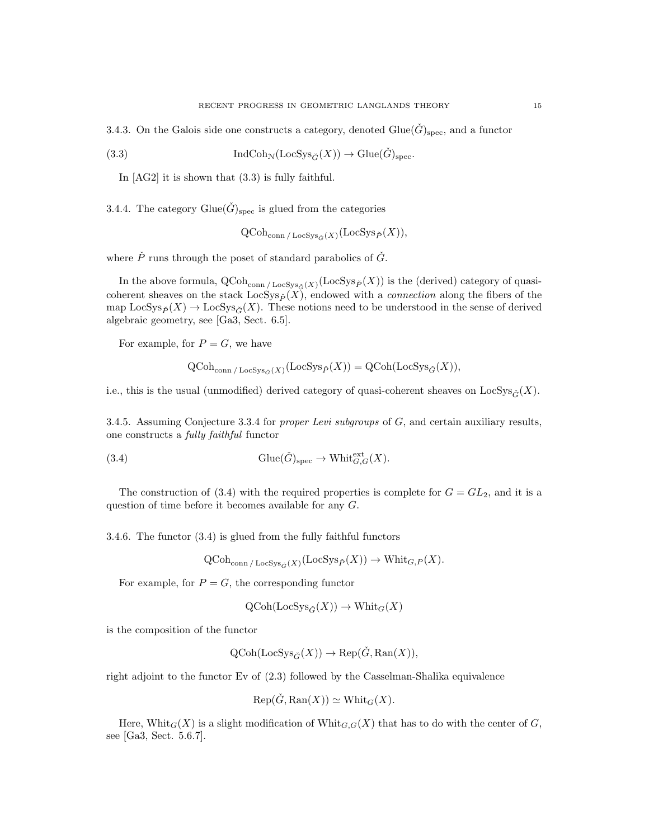3.4.3. On the Galois side one constructs a category, denoted  $G\text{lie}(\hat{G})_{\text{spec}}$ , and a functor

(3.3) 
$$
\operatorname{IndCoh}_{\mathcal{N}}(\operatorname{LocSys}_{\check{G}}(X)) \to \operatorname{Glue}(\check{G})_{\operatorname{spec}}.
$$

In [AG2] it is shown that (3.3) is fully faithful.

3.4.4. The category Glue( $\check{G}$ )<sub>spec</sub> is glued from the categories

 $\operatorname{QCoh}_{\operatorname{conn}/\operatorname{LocSys}_{\check{G}}(X)}(\operatorname{LocSys}_{\check{P}}(X)),$ 

where  $\check{P}$  runs through the poset of standard parabolics of  $\check{G}$ .

In the above formula,  $Q\text{Coh}_{\text{conn}/\text{LocSys}_{\check{G}}(X)}(\text{LocSys}_{\check{P}}(X))$  is the (derived) category of quasicoherent sheaves on the stack  $LocSys_{\check{P}}(X)$ , endowed with a *connection* along the fibers of the map  $\text{LocSys}_{\check{P}}(X) \to \text{LocSys}_{\check{G}}(X)$ . These notions need to be understood in the sense of derived algebraic geometry, see [Ga3, Sect. 6.5].

For example, for  $P = G$ , we have

$$
\operatorname{QCoh}_{\operatorname{conn}/\operatorname{LocSys}_{\check{G}}(X)}(\operatorname{LocSys}_{\check{P}}(X)) = \operatorname{QCoh}(\operatorname{LocSys}_{\check{G}}(X)),
$$

i.e., this is the usual (unmodified) derived category of quasi-coherent sheaves on LocSys $\tilde{\sigma}(X)$ .

3.4.5. Assuming Conjecture 3.3.4 for *proper Levi subgroups* of  $G$ , and certain auxiliary results, one constructs a fully faithful functor

(3.4) 
$$
\text{Glue}(\check{G})_{\text{spec}} \to \text{Whit}_{G,G}^{\text{ext}}(X).
$$

The construction of (3.4) with the required properties is complete for  $G = GL_2$ , and it is a question of time before it becomes available for any G.

3.4.6. The functor (3.4) is glued from the fully faithful functors

$$
\operatorname{QCoh}_{\operatorname{conn}/\operatorname{LocSys}_{\check{G}}(X)}(\operatorname{LocSys}_{\check{P}}(X)) \to \operatorname{Whit}_{G,P}(X).
$$

For example, for  $P = G$ , the corresponding functor

$$
\text{QCoh}(\text{LocSys}_{\check{G}}(X)) \to \text{Whit}_G(X)
$$

is the composition of the functor

$$
\text{QCoh}(\text{LocSys}_{\check{G}}(X)) \to \text{Rep}(\check{G}, \text{Ran}(X)),
$$

right adjoint to the functor Ev of (2.3) followed by the Casselman-Shalika equivalence

$$
Rep(\check{G}, Ran(X)) \simeq Whit_G(X).
$$

Here, Whit<sub>G</sub>(X) is a slight modification of Whit<sub>G,G</sub>(X) that has to do with the center of G, see [Ga3, Sect. 5.6.7].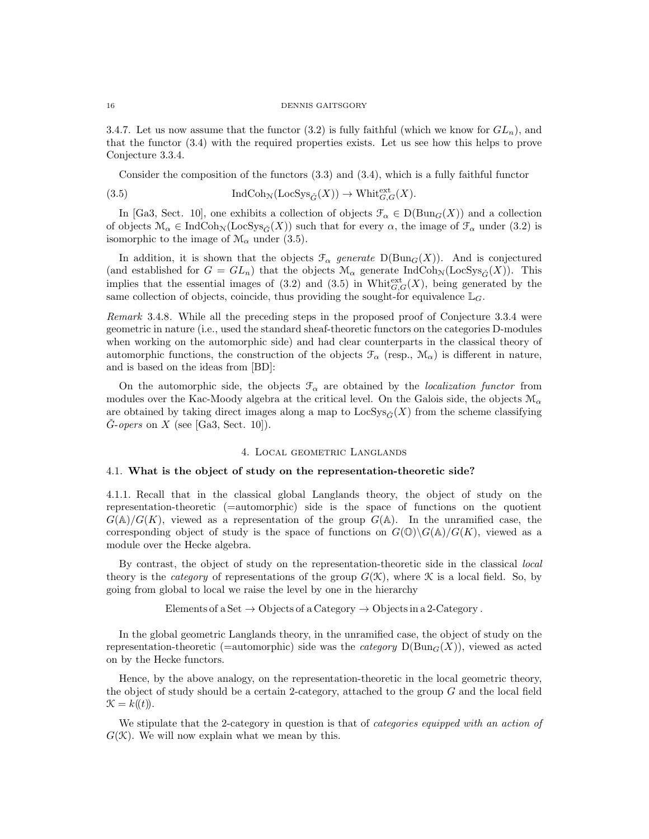#### 16 DENNIS GAITSGORY

3.4.7. Let us now assume that the functor (3.2) is fully faithful (which we know for  $GL_n$ ), and that the functor (3.4) with the required properties exists. Let us see how this helps to prove Conjecture 3.3.4.

Consider the composition of the functors (3.3) and (3.4), which is a fully faithful functor

(3.5) 
$$
\operatorname{IndCoh}_{\mathcal{N}}(\operatorname{LocSys}_{\check{G}}(X)) \to \operatorname{Whit}_{G,G}^{\operatorname{ext}}(X).
$$

In [Ga3, Sect. 10], one exhibits a collection of objects  $\mathcal{F}_{\alpha} \in D(\text{Bun}_G(X))$  and a collection of objects  $\mathcal{M}_{\alpha} \in \text{IndCoh}_{\mathcal{N}}(\text{LocSys}_{\check{G}}(X))$  such that for every  $\alpha$ , the image of  $\mathcal{F}_{\alpha}$  under (3.2) is isomorphic to the image of  $\mathcal{M}_{\alpha}$  under (3.5).

In addition, it is shown that the objects  $\mathcal{F}_{\alpha}$  generate  $D(Bun_G(X))$ . And is conjectured (and established for  $G = GL_n$ ) that the objects  $\mathcal{M}_{\alpha}$  generate IndCoh<sub>N</sub>(LocSys<sub> $\check{G}(X)$ ). This</sub> implies that the essential images of (3.2) and (3.5) in Whit $_{G,G}^{\text{ext}}(X)$ , being generated by the same collection of objects, coincide, thus providing the sought-for equivalence  $\mathbb{L}_G$ .

Remark 3.4.8. While all the preceding steps in the proposed proof of Conjecture 3.3.4 were geometric in nature (i.e., used the standard sheaf-theoretic functors on the categories D-modules when working on the automorphic side) and had clear counterparts in the classical theory of automorphic functions, the construction of the objects  $\mathcal{F}_{\alpha}$  (resp.,  $\mathcal{M}_{\alpha}$ ) is different in nature, and is based on the ideas from [BD]:

On the automorphic side, the objects  $\mathcal{F}_{\alpha}$  are obtained by the *localization functor* from modules over the Kac-Moody algebra at the critical level. On the Galois side, the objects  $\mathcal{M}_{\alpha}$ are obtained by taking direct images along a map to  $\text{LocSys}_{\tilde{G}}(X)$  from the scheme classifying  $\check{G}$ -opers on X (see [Ga3, Sect. 10]).

# 4. Local geometric Langlands

## 4.1. What is the object of study on the representation-theoretic side?

4.1.1. Recall that in the classical global Langlands theory, the object of study on the representation-theoretic (=automorphic) side is the space of functions on the quotient  $G(\mathbb{A})/G(K)$ , viewed as a representation of the group  $G(\mathbb{A})$ . In the unramified case, the corresponding object of study is the space of functions on  $G(\mathbb{O})\backslash G(\mathbb{A})/G(K)$ , viewed as a module over the Hecke algebra.

By contrast, the object of study on the representation-theoretic side in the classical local theory is the *category* of representations of the group  $G(\mathcal{K})$ , where  $\mathcal K$  is a local field. So, by going from global to local we raise the level by one in the hierarchy

Elements of a Set  $\rightarrow$  Objects of a Category  $\rightarrow$  Objects in a 2-Category.

In the global geometric Langlands theory, in the unramified case, the object of study on the representation-theoretic (=automorphic) side was the *category*  $D(Bun_G(X))$ , viewed as acted on by the Hecke functors.

Hence, by the above analogy, on the representation-theoretic in the local geometric theory, the object of study should be a certain 2-category, attached to the group G and the local field  $\mathcal{K} = k(\mathcal{F})$ .

We stipulate that the 2-category in question is that of *categories equipped with an action of*  $G(\mathcal{K})$ . We will now explain what we mean by this.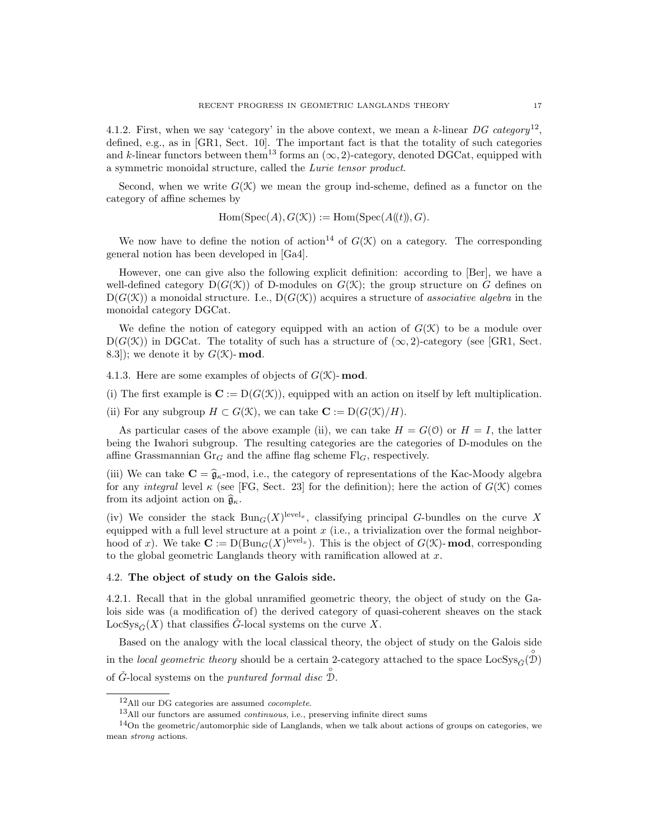4.1.2. First, when we say 'category' in the above context, we mean a k-linear  $DG$  category<sup>12</sup>, defined, e.g., as in [GR1, Sect. 10]. The important fact is that the totality of such categories and k-linear functors between them<sup>13</sup> forms an  $(\infty, 2)$ -category, denoted DGCat, equipped with a symmetric monoidal structure, called the Lurie tensor product.

Second, when we write  $G(\mathcal{K})$  we mean the group ind-scheme, defined as a functor on the category of affine schemes by

 $Hom(Spec(A), G(\mathcal{K})) := Hom(Spec(A(\mathcal{H})), G).$ 

We now have to define the notion of action<sup>14</sup> of  $G(\mathcal{K})$  on a category. The corresponding general notion has been developed in [Ga4].

However, one can give also the following explicit definition: according to [Ber], we have a well-defined category  $D(G(\mathcal{K}))$  of D-modules on  $G(\mathcal{K})$ ; the group structure on G defines on  $D(G(\mathcal{K}))$  a monoidal structure. I.e.,  $D(G(\mathcal{K}))$  acquires a structure of associative algebra in the monoidal category DGCat.

We define the notion of category equipped with an action of  $G(\mathcal{K})$  to be a module over  $D(G(\mathcal{K}))$  in DGCat. The totality of such has a structure of  $(\infty, 2)$ -category (see [GR1, Sect. 8.3]); we denote it by  $G(\mathcal{K})$ -mod.

4.1.3. Here are some examples of objects of  $G(\mathcal{K})$ - mod.

(i) The first example is  $C := D(G(\mathcal{K}))$ , equipped with an action on itself by left multiplication.

(ii) For any subgroup  $H \subset G(\mathcal{K})$ , we can take  $\mathbf{C} := D(G(\mathcal{K})/H)$ .

As particular cases of the above example (ii), we can take  $H = G(0)$  or  $H = I$ , the latter being the Iwahori subgroup. The resulting categories are the categories of D-modules on the affine Grassmannian  $\text{Gr}_G$  and the affine flag scheme  $\text{Fl}_G$ , respectively.

(iii) We can take  $\mathbf{C} = \hat{\mathfrak{g}}_{\kappa}$ -mod, i.e., the category of representations of the Kac-Moody algebra for any *integral* level  $\kappa$  (see [FG, Sect. 23] for the definition); here the action of  $G(\mathcal{K})$  comes from its adjoint action on  $\widehat{\mathfrak{g}}_{\kappa}$ .

(iv) We consider the stack  $Bun_G(X)^{level_x}$ , classifying principal G-bundles on the curve X equipped with a full level structure at a point  $x$  (i.e., a trivialization over the formal neighborhood of x). We take  $\mathbf{C} := D(\text{Bun}_G(X)^{\text{level}_x})$ . This is the object of  $G(\mathcal{K})$ -mod, corresponding to the global geometric Langlands theory with ramification allowed at  $x$ .

## 4.2. The object of study on the Galois side.

4.2.1. Recall that in the global unramified geometric theory, the object of study on the Galois side was (a modification of) the derived category of quasi-coherent sheaves on the stack LocSys<sub> $\check{G}(X)$ </sub> that classifies  $\check{G}$ -local systems on the curve X.

Based on the analogy with the local classical theory, the object of study on the Galois side in the local geometric theory should be a certain 2-category attached to the space  $\text{LocSys}_{\check{G}}(\overset{\circ}{\mathcal{D}})$ of  $\check{G}$ -local systems on the *puntured formal disc*  $\hat{\mathcal{D}}$ .

<sup>12</sup>All our DG categories are assumed cocomplete.

<sup>13</sup>All our functors are assumed continuous, i.e., preserving infinite direct sums

 $14$ On the geometric/automorphic side of Langlands, when we talk about actions of groups on categories, we mean strong actions.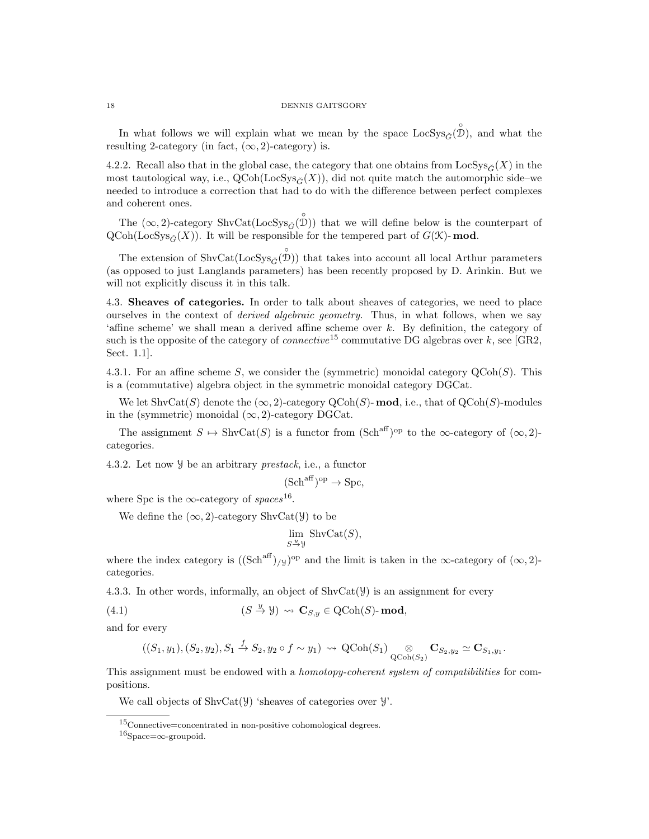In what follows we will explain what we mean by the space  $\text{LocSys}_{\check{G}}(\overset{\circ}{\mathcal{D}})$ , and what the resulting 2-category (in fact,  $(\infty, 2)$ -category) is.

4.2.2. Recall also that in the global case, the category that one obtains from  $\text{LocSys}_{\check{G}}(X)$  in the most tautological way, i.e.,  $QCoh(LocSys_{\tilde{C}}(X))$ , did not quite match the automorphic side–we needed to introduce a correction that had to do with the difference between perfect complexes and coherent ones.

The  $(\infty, 2)$ -category ShvCat(LocSys<sub> $\check{G}$ </sub><sup>o</sup>)) that we will define below is the counterpart of  $QCoh(LocSys_{\tilde{C}}(X))$ . It will be responsible for the tempered part of  $G(\mathcal{K})$ - mod.

The extension of  $\text{ShvCat}(\text{LocSys}_{\tilde{G}}(\overset{\circ}{\mathcal{D}}))$  that takes into account all local Arthur parameters (as opposed to just Langlands parameters) has been recently proposed by D. Arinkin. But we will not explicitly discuss it in this talk.

4.3. Sheaves of categories. In order to talk about sheaves of categories, we need to place ourselves in the context of *derived algebraic geometry*. Thus, in what follows, when we say 'affine scheme' we shall mean a derived affine scheme over k. By definition, the category of such is the opposite of the category of *connective*<sup>15</sup> commutative DG algebras over k, see [GR2, Sect. 1.1].

4.3.1. For an affine scheme S, we consider the (symmetric) monoidal category  $\mathrm{QCoh}(S)$ . This is a (commutative) algebra object in the symmetric monoidal category DGCat.

We let  $\text{ShvCat}(S)$  denote the  $(\infty, 2)$ -category QCoh(S)-**mod**, i.e., that of QCoh(S)-modules in the (symmetric) monoidal  $(\infty, 2)$ -category DGCat.

The assignment  $S \mapsto \text{ShvCat}(S)$  is a functor from  $(\text{Sch}^{\text{aff}})^{\text{op}}$  to the  $\infty$ -category of  $(\infty, 2)$ categories.

4.3.2. Let now Y be an arbitrary prestack, i.e., a functor

$$
(\mathrm{Sch}^{\mathrm{aff}})^{\mathrm{op}} \to \mathrm{Spc},
$$

where Spc is the  $\infty$ -category of spaces<sup>16</sup>.

We define the  $(\infty, 2)$ -category ShvCat(Y) to be

$$
\lim_{S \xrightarrow{y} y} \text{ShvCat}(S),
$$

where the index category is  $((Sch<sup>aff</sup>)_{/y})^{op}$  and the limit is taken in the  $\infty$ -category of  $(\infty, 2)$ categories.

4.3.3. In other words, informally, an object of ShvCat(Y) is an assignment for every

(4.1) 
$$
(S \stackrel{y}{\to} Y) \rightsquigarrow \mathbf{C}_{S,y} \in \text{QCoh}(S)\text{-}\mathbf{mod},
$$

and for every

$$
((S_1,y_1),(S_2,y_2),S_1\xrightarrow{f}S_2,y_2\circ f\sim y_1)\rightsquigarrow \text{QCoh}(S_1)\underset{\text{QCoh}(S_2)}{\otimes}\mathbf{C}_{S_2,y_2}\simeq\mathbf{C}_{S_1,y_1}.
$$

This assignment must be endowed with a *homotopy-coherent system of compatibilities* for compositions.

We call objects of  $\text{ShvCat}(\mathcal{Y})$  'sheaves of categories over  $\mathcal{Y}'$ .

<sup>15</sup>Connective=concentrated in non-positive cohomological degrees.

 $16$ Space=∞-groupoid.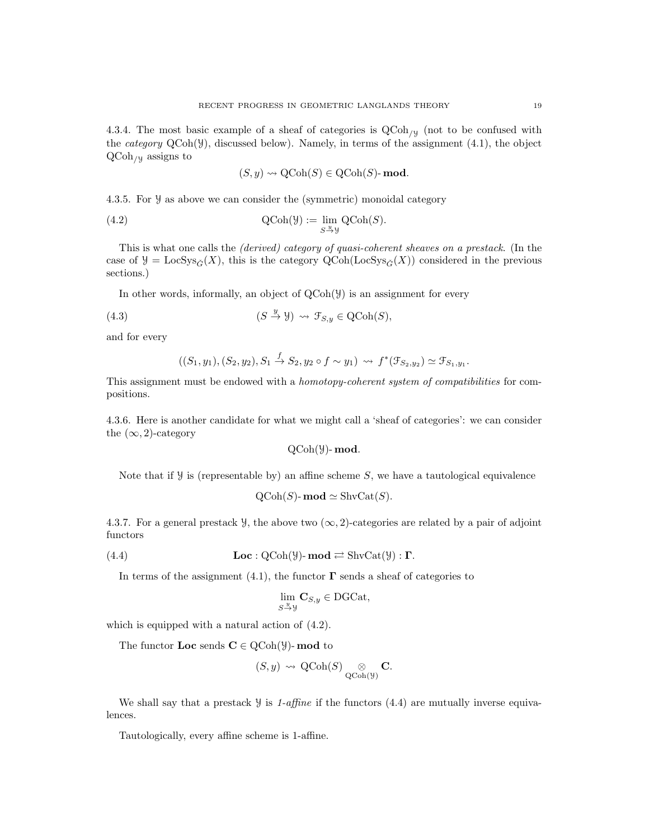4.3.4. The most basic example of a sheaf of categories is  $\text{QCoh}_{\mathcal{U}}$  (not to be confused with the *category*  $QCoh(\mathcal{Y})$ , discussed below). Namely, in terms of the assignment (4.1), the object  $QCoh_{/Y}$  assigns to

$$
(S, y) \rightsquigarrow \text{QCoh}(S) \in \text{QCoh}(S) \text{-}\mathbf{mod}.
$$

4.3.5. For Y as above we can consider the (symmetric) monoidal category

(4.2) 
$$
\operatorname{QCoh}(\mathcal{Y}) := \lim_{S \xrightarrow{u} \mathcal{Y}} \operatorname{QCoh}(S).
$$

This is what one calls the (derived) category of quasi-coherent sheaves on a prestack. (In the case of  $\mathcal{Y} = \text{LocSys}_{\tilde{G}}(X)$ , this is the category QCoh(LocSys<sub> $\tilde{G}(X)$ </sub>) considered in the previous sections.)

In other words, informally, an object of  $QCoh(\mathcal{Y})$  is an assignment for every

(4.3) 
$$
(S \stackrel{y}{\to} Y) \rightsquigarrow \mathcal{F}_{S,y} \in \mathrm{QCoh}(S),
$$

and for every

$$
((S_1, y_1), (S_2, y_2), S_1 \xrightarrow{f} S_2, y_2 \circ f \sim y_1) \rightsquigarrow f^*(\mathcal{F}_{S_2, y_2}) \simeq \mathcal{F}_{S_1, y_1}.
$$

This assignment must be endowed with a homotopy-coherent system of compatibilities for compositions.

4.3.6. Here is another candidate for what we might call a 'sheaf of categories': we can consider the  $(\infty, 2)$ -category

QCoh(Y)- mod.

Note that if  $\mathcal Y$  is (representable by) an affine scheme S, we have a tautological equivalence

$$
\mathrm{QCoh}(S)\text{-}\mathbf{mod} \simeq \mathrm{ShvCat}(S).
$$

4.3.7. For a general prestack  $\mathcal{Y}$ , the above two  $(\infty, 2)$ -categories are related by a pair of adjoint functors

(4.4)  $\mathbf{Loc}: \mathrm{QCoh}(\mathcal{Y})\text{-}\mathbf{mod} \rightleftarrows \mathrm{ShvCat}(\mathcal{Y}) : \mathbf{\Gamma}.$ 

In terms of the assignment (4.1), the functor  $\Gamma$  sends a sheaf of categories to

$$
\lim_{S \xrightarrow{y} y} \mathbf{C}_{S,y} \in \text{DGCat},
$$

which is equipped with a natural action of (4.2).

The functor **Loc** sends  $C \in \text{QCoh}(\mathcal{Y})$ - **mod** to

$$
(S, y) \rightsquigarrow \text{QCoh}(S) \underset{\text{QCoh}(\mathcal{Y})}{\otimes} \mathbf{C}.
$$

We shall say that a prestack  $\mathcal{Y}$  is 1-affine if the functors (4.4) are mutually inverse equivalences.

Tautologically, every affine scheme is 1-affine.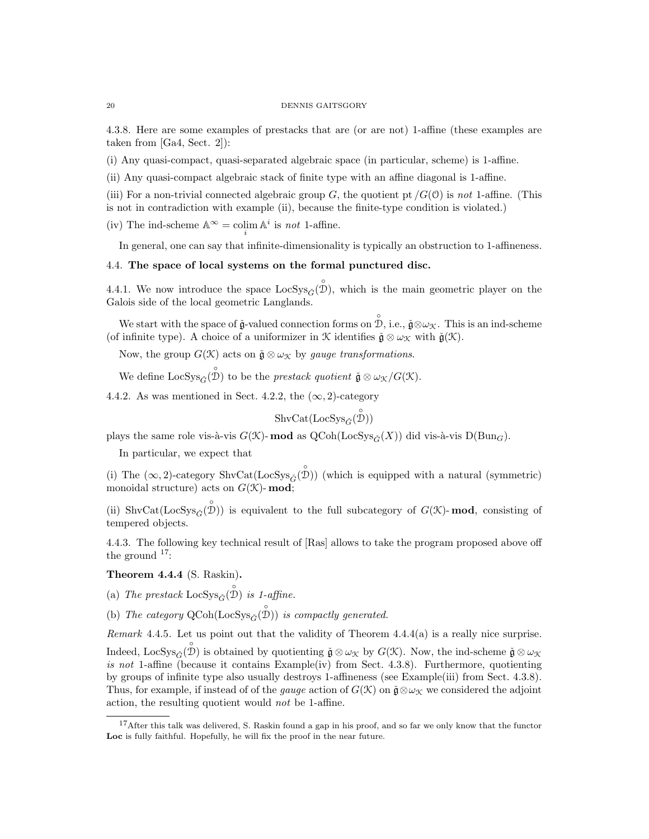4.3.8. Here are some examples of prestacks that are (or are not) 1-affine (these examples are taken from [Ga4, Sect. 2]):

(i) Any quasi-compact, quasi-separated algebraic space (in particular, scheme) is 1-affine.

(ii) Any quasi-compact algebraic stack of finite type with an affine diagonal is 1-affine.

(iii) For a non-trivial connected algebraic group G, the quotient pt  $/G(0)$  is not 1-affine. (This is not in contradiction with example (ii), because the finite-type condition is violated.)

(iv) The ind-scheme  $\mathbb{A}^{\infty} = \operatornamewithlimits{colim}_{i} \mathbb{A}^{i}$  is *not* 1-affine.

In general, one can say that infinite-dimensionality is typically an obstruction to 1-affineness.

### 4.4. The space of local systems on the formal punctured disc.

4.4.1. We now introduce the space  $\text{LocSys}_{\check{G}}(\overset{\circ}{\mathcal{D}})$ , which is the main geometric player on the Galois side of the local geometric Langlands.

We start with the space of  $\check{\mathfrak{g}}$ -valued connection forms on  $\overset{\circ}{\mathcal{D}},$  i.e.,  $\check{\mathfrak{g}} \otimes \omega_{\mathcal{K}}$ . This is an ind-scheme (of infinite type). A choice of a uniformizer in K identifies  $\check{\mathfrak{g}} \otimes \omega_{\mathfrak{K}}$  with  $\check{\mathfrak{g}}(\mathfrak{K})$ .

Now, the group  $G(\mathcal{K})$  acts on  $\check{\mathfrak{g}} \otimes \omega_{\mathcal{K}}$  by gauge transformations.

We define  $\text{LocSys}_{\check{G}}(\overset{\circ}{\mathcal{D}})$  to be the *prestack quotient*  $\check{\mathfrak{g}} \otimes \omega_{\mathcal{K}}/G(\mathcal{K})$ .

4.4.2. As was mentioned in Sect. 4.2.2, the  $(\infty, 2)$ -category

$$
\mathrm{ShvCat}(\mathrm{LocSys}_{\check{G}}(\overset{\circ}{\mathcal{D}}))
$$

plays the same role vis-à-vis  $G(\mathcal{K})$ - mod as  $Q\text{Coh}(\text{LocSys}_{\check{G}}(X))$  did vis-à-vis  $D(\text{Bun}_G)$ .

In particular, we expect that

(i) The  $(\infty, 2)$ -category ShvCat(LocSys<sub> $\check{G}$ </sub><sup>o</sup>)) (which is equipped with a natural (symmetric) monoidal structure) acts on  $G(\mathcal{K})$ - mod;

(ii) ShvCat(LocSys<sub> $\check{G}(\check{\mathcal{D}})$ ) is equivalent to the full subcategory of  $G(\mathcal{K})$ -mod, consisting of</sub> tempered objects.

4.4.3. The following key technical result of [Ras] allows to take the program proposed above off the ground  $17$ :

Theorem 4.4.4 (S. Raskin).

(a) The prestack  $\text{LocSys}_{\check{G}}(\overset{\circ}{\mathcal{D}})$  is 1-affine.

(b) The category  $Q\text{Coh}(\text{LocSys}_{\check{G}}(\overset{\circ}{\mathcal{D}}))$  is compactly generated.

Remark 4.4.5. Let us point out that the validity of Theorem  $4.4.4(a)$  is a really nice surprise. Indeed, LocSys<sub> $\check{G}(\overset{\circ}{\mathcal{D}})$  is obtained by quotienting  $\check{\mathfrak{g}} \otimes \omega_{\mathcal{K}}$  by  $G(\mathcal{K})$ . Now, the ind-scheme  $\check{\mathfrak{g}} \otimes \omega_{\mathcal{K}}$ </sub> is not 1-affine (because it contains Example(iv) from Sect. 4.3.8). Furthermore, quotienting by groups of infinite type also usually destroys 1-affineness (see Example(iii) from Sect. 4.3.8). Thus, for example, if instead of of the *gauge* action of  $G(\mathcal{K})$  on  $\mathfrak{g} \otimes \omega_{\mathcal{K}}$  we considered the adjoint action, the resulting quotient would not be 1-affine.

<sup>&</sup>lt;sup>17</sup>After this talk was delivered, S. Raskin found a gap in his proof, and so far we only know that the functor Loc is fully faithful. Hopefully, he will fix the proof in the near future.